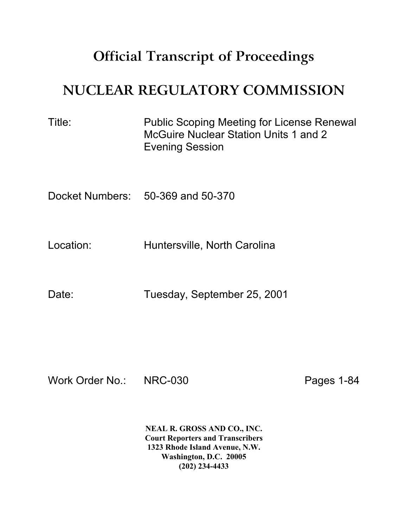## **Official Transcript of Proceedings**

## **NUCLEAR REGULATORY COMMISSION**

| Title: | <b>Public Scoping Meeting for License Renewal</b><br>McGuire Nuclear Station Units 1 and 2 |
|--------|--------------------------------------------------------------------------------------------|
|        | <b>Evening Session</b>                                                                     |
|        |                                                                                            |

Docket Numbers: 50-369 and 50-370

Location: Huntersville, North Carolina

Date: Tuesday, September 25, 2001

Work Order No.: NRC-030 Pages 1-84

**NEAL R. GROSS AND CO., INC. Court Reporters and Transcribers 1323 Rhode Island Avenue, N.W. Washington, D.C. 20005 (202) 234-4433**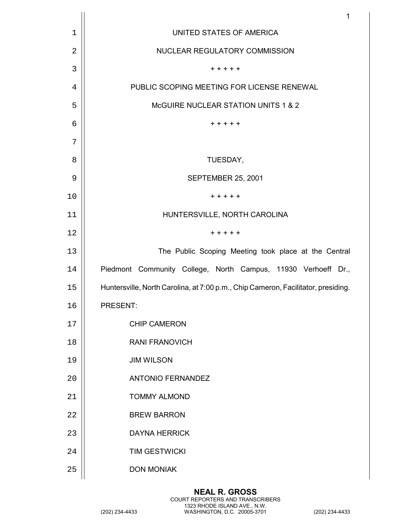|             | $\mathbf{1}$                                                                      |
|-------------|-----------------------------------------------------------------------------------|
| $\mathbf 1$ | UNITED STATES OF AMERICA                                                          |
| 2           | NUCLEAR REGULATORY COMMISSION                                                     |
| 3           | + + + + +                                                                         |
| 4           | PUBLIC SCOPING MEETING FOR LICENSE RENEWAL                                        |
| 5           | McGUIRE NUCLEAR STATION UNITS 1 & 2                                               |
| 6           | $+ + + + +$                                                                       |
| 7           |                                                                                   |
| 8           | TUESDAY,                                                                          |
| 9           | <b>SEPTEMBER 25, 2001</b>                                                         |
| 10          | $+ + + + +$                                                                       |
| 11          | HUNTERSVILLE, NORTH CAROLINA                                                      |
| 12          | + + + + +                                                                         |
| 13          | The Public Scoping Meeting took place at the Central                              |
| 14          | Piedmont Community College, North Campus, 11930 Verhoeff Dr.,                     |
| 15          | Huntersville, North Carolina, at 7:00 p.m., Chip Cameron, Facilitator, presiding. |
| 16          | PRESENT:                                                                          |
| 17          | <b>CHIP CAMERON</b>                                                               |
| 18          | <b>RANI FRANOVICH</b>                                                             |
| 19          | <b>JIM WILSON</b>                                                                 |
| 20          | <b>ANTONIO FERNANDEZ</b>                                                          |
| 21          | <b>TOMMY ALMOND</b>                                                               |
| 22          | <b>BREW BARRON</b>                                                                |
| 23          | <b>DAYNA HERRICK</b>                                                              |
| 24          | <b>TIM GESTWICKI</b>                                                              |
| 25          | <b>DON MONIAK</b>                                                                 |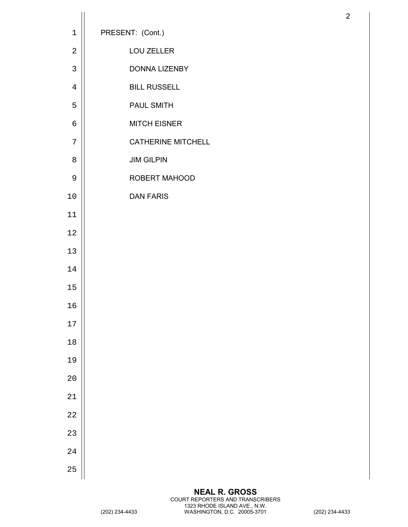| $\mathbf 1$    | PRESENT: (Cont.)          |
|----------------|---------------------------|
| $\overline{2}$ | LOU ZELLER                |
| $\mathsf{3}$   | <b>DONNA LIZENBY</b>      |
| $\overline{4}$ | <b>BILL RUSSELL</b>       |
| 5              | PAUL SMITH                |
| 6              | <b>MITCH EISNER</b>       |
| 7              | <b>CATHERINE MITCHELL</b> |
| $\,8\,$        | <b>JIM GILPIN</b>         |
| $\mathsf 9$    | ROBERT MAHOOD             |
| $10$           | <b>DAN FARIS</b>          |
| 11             |                           |
| 12             |                           |
| 13             |                           |
| 14             |                           |
| 15             |                           |
| 16             |                           |
| 17             |                           |
| $18\,$         |                           |
| 19             |                           |
| 20             |                           |
| 21             |                           |
| 22             |                           |
| 23             |                           |
| 24             |                           |
| 25             |                           |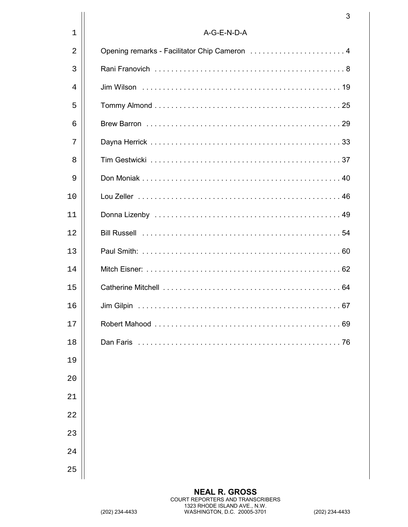|             | 3                                             |
|-------------|-----------------------------------------------|
| $\mathbf 1$ | A-G-E-N-D-A                                   |
| 2           | Opening remarks - Facilitator Chip Cameron  4 |
| 3           |                                               |
| 4           |                                               |
| 5           |                                               |
| 6           |                                               |
| 7           |                                               |
| 8           |                                               |
| 9           |                                               |
| 10          |                                               |
| 11          |                                               |
| 12          |                                               |
| 13          |                                               |
| 14          |                                               |
| 15          |                                               |
| 16          |                                               |
| 17          | 69                                            |
| 18          | Dan Faris<br>76                               |
| 19          |                                               |
| 20          |                                               |
| 21          |                                               |
| 22          |                                               |
| 23          |                                               |
| 24          |                                               |
| 25          |                                               |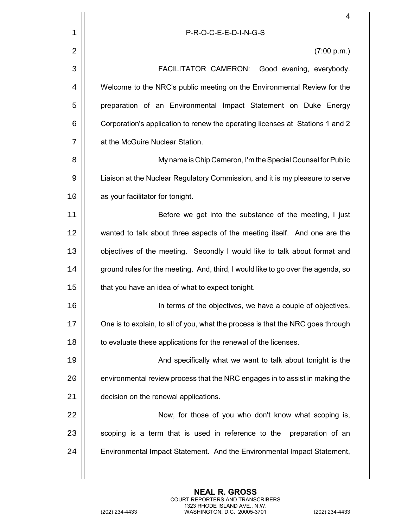|             | $\overline{4}$                                                                   |
|-------------|----------------------------------------------------------------------------------|
| $\mathbf 1$ | P-R-O-C-E-E-D-I-N-G-S                                                            |
| 2           | (7:00 p.m.)                                                                      |
| 3           | FACILITATOR CAMERON:<br>Good evening, everybody.                                 |
| 4           | Welcome to the NRC's public meeting on the Environmental Review for the          |
| 5           | preparation of an Environmental Impact Statement on Duke Energy                  |
| 6           | Corporation's application to renew the operating licenses at Stations 1 and 2    |
| 7           | at the McGuire Nuclear Station.                                                  |
| 8           | My name is Chip Cameron, I'm the Special Counsel for Public                      |
| 9           | Liaison at the Nuclear Regulatory Commission, and it is my pleasure to serve     |
| 10          | as your facilitator for tonight.                                                 |
| 11          | Before we get into the substance of the meeting, I just                          |
| 12          | wanted to talk about three aspects of the meeting itself. And one are the        |
| 13          | objectives of the meeting. Secondly I would like to talk about format and        |
| 14          | ground rules for the meeting. And, third, I would like to go over the agenda, so |
| 15          | that you have an idea of what to expect tonight.                                 |
| 16          | In terms of the objectives, we have a couple of objectives.                      |
| 17          | One is to explain, to all of you, what the process is that the NRC goes through  |
| 18          | to evaluate these applications for the renewal of the licenses.                  |
| 19          | And specifically what we want to talk about tonight is the                       |
| 20          | environmental review process that the NRC engages in to assist in making the     |
| 21          | decision on the renewal applications.                                            |
| 22          | Now, for those of you who don't know what scoping is,                            |
| 23          | scoping is a term that is used in reference to the<br>preparation of an          |
| 24          | Environmental Impact Statement. And the Environmental Impact Statement,          |
|             |                                                                                  |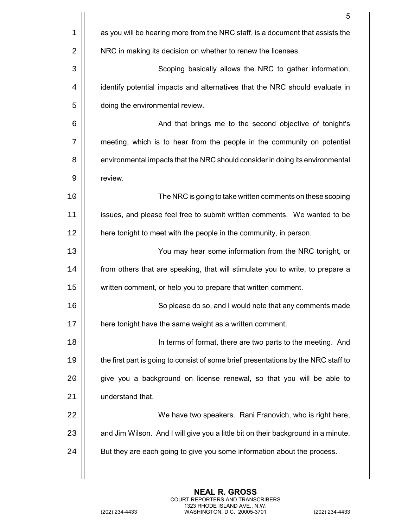|    | 5                                                                                  |
|----|------------------------------------------------------------------------------------|
| 1  | as you will be hearing more from the NRC staff, is a document that assists the     |
| 2  | NRC in making its decision on whether to renew the licenses.                       |
| 3  | Scoping basically allows the NRC to gather information,                            |
| 4  | identify potential impacts and alternatives that the NRC should evaluate in        |
| 5  | doing the environmental review.                                                    |
| 6  | And that brings me to the second objective of tonight's                            |
| 7  | meeting, which is to hear from the people in the community on potential            |
| 8  | environmental impacts that the NRC should consider in doing its environmental      |
| 9  | review.                                                                            |
| 10 | The NRC is going to take written comments on these scoping                         |
| 11 | issues, and please feel free to submit written comments. We wanted to be           |
| 12 | here tonight to meet with the people in the community, in person.                  |
| 13 | You may hear some information from the NRC tonight, or                             |
| 14 | from others that are speaking, that will stimulate you to write, to prepare a      |
| 15 | written comment, or help you to prepare that written comment.                      |
| 16 | So please do so, and I would note that any comments made                           |
| 17 | here tonight have the same weight as a written comment.                            |
| 18 | In terms of format, there are two parts to the meeting. And                        |
| 19 | the first part is going to consist of some brief presentations by the NRC staff to |
| 20 | give you a background on license renewal, so that you will be able to              |
| 21 | understand that.                                                                   |
| 22 | We have two speakers. Rani Franovich, who is right here,                           |
| 23 | and Jim Wilson. And I will give you a little bit on their background in a minute.  |
| 24 | But they are each going to give you some information about the process.            |
|    |                                                                                    |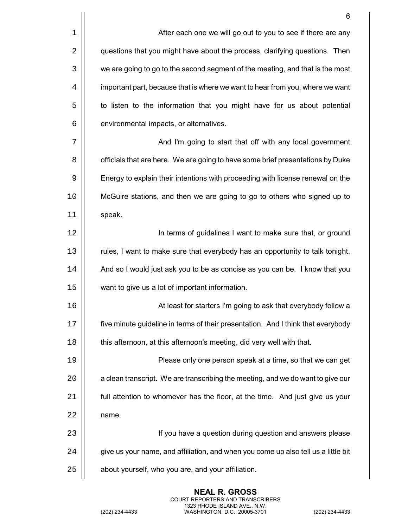|              | 6                                                                                  |
|--------------|------------------------------------------------------------------------------------|
| $\mathbf 1$  | After each one we will go out to you to see if there are any                       |
| $\sqrt{2}$   | questions that you might have about the process, clarifying questions. Then        |
| $\mathbf{3}$ | we are going to go to the second segment of the meeting, and that is the most      |
| 4            | important part, because that is where we want to hear from you, where we want      |
| 5            | to listen to the information that you might have for us about potential            |
| 6            | environmental impacts, or alternatives.                                            |
| 7            | And I'm going to start that off with any local government                          |
| 8            | officials that are here. We are going to have some brief presentations by Duke     |
| 9            | Energy to explain their intentions with proceeding with license renewal on the     |
| 10           | McGuire stations, and then we are going to go to others who signed up to           |
| 11           | speak.                                                                             |
| 12           | In terms of guidelines I want to make sure that, or ground                         |
| 13           | rules, I want to make sure that everybody has an opportunity to talk tonight.      |
| 14           | And so I would just ask you to be as concise as you can be. I know that you        |
| 15           | want to give us a lot of important information.                                    |
| 16           | At least for starters I'm going to ask that everybody follow a                     |
| 17           | five minute guideline in terms of their presentation. And I think that everybody   |
| 18           | this afternoon, at this afternoon's meeting, did very well with that.              |
| 19           | Please only one person speak at a time, so that we can get                         |
| 20           | a clean transcript. We are transcribing the meeting, and we do want to give our    |
| 21           | full attention to whomever has the floor, at the time. And just give us your       |
| 22           | name.                                                                              |
| 23           | If you have a question during question and answers please                          |
| 24           | give us your name, and affiliation, and when you come up also tell us a little bit |
| 25           | about yourself, who you are, and your affiliation.                                 |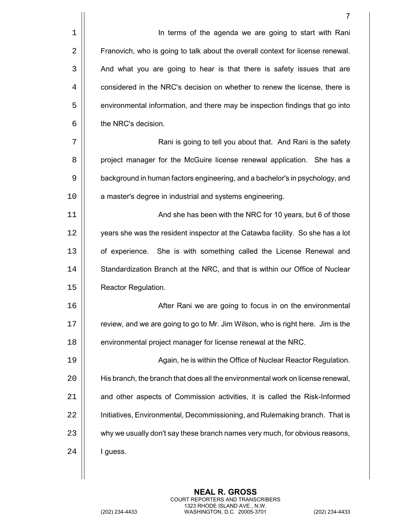|             | $\overline{7}$                                                                  |
|-------------|---------------------------------------------------------------------------------|
| $\mathbf 1$ | In terms of the agenda we are going to start with Rani                          |
| 2           | Franovich, who is going to talk about the overall context for license renewal.  |
| 3           | And what you are going to hear is that there is safety issues that are          |
| 4           | considered in the NRC's decision on whether to renew the license, there is      |
| 5           | environmental information, and there may be inspection findings that go into    |
| 6           | the NRC's decision.                                                             |
| 7           | Rani is going to tell you about that. And Rani is the safety                    |
| 8           | project manager for the McGuire license renewal application. She has a          |
| 9           | background in human factors engineering, and a bachelor's in psychology, and    |
| 10          | a master's degree in industrial and systems engineering.                        |
| 11          | And she has been with the NRC for 10 years, but 6 of those                      |
| 12          | years she was the resident inspector at the Catawba facility. So she has a lot  |
| 13          | of experience. She is with something called the License Renewal and             |
| 14          | Standardization Branch at the NRC, and that is within our Office of Nuclear     |
| 15          | Reactor Regulation.                                                             |
| 16          | After Rani we are going to focus in on the environmental                        |
| 17          | review, and we are going to go to Mr. Jim Wilson, who is right here. Jim is the |
| 18          | environmental project manager for license renewal at the NRC.                   |
| 19          | Again, he is within the Office of Nuclear Reactor Regulation.                   |
| 20          | His branch, the branch that does all the environmental work on license renewal, |
| 21          | and other aspects of Commission activities, it is called the Risk-Informed      |
| 22          | Initiatives, Environmental, Decommissioning, and Rulemaking branch. That is     |
| 23          | why we usually don't say these branch names very much, for obvious reasons,     |
| 24          | I guess.                                                                        |
|             |                                                                                 |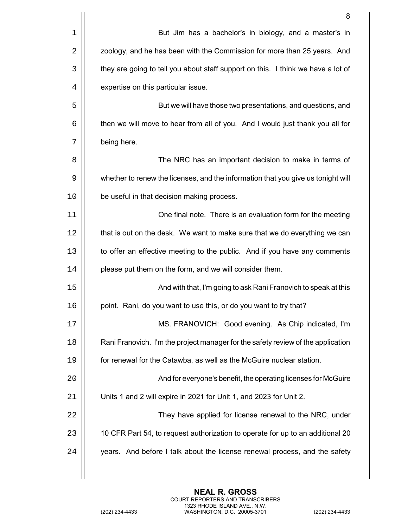|    | 8                                                                                |
|----|----------------------------------------------------------------------------------|
| 1  | But Jim has a bachelor's in biology, and a master's in                           |
| 2  | zoology, and he has been with the Commission for more than 25 years. And         |
| 3  | they are going to tell you about staff support on this. I think we have a lot of |
| 4  | expertise on this particular issue.                                              |
| 5  | But we will have those two presentations, and questions, and                     |
| 6  | then we will move to hear from all of you. And I would just thank you all for    |
| 7  | being here.                                                                      |
| 8  | The NRC has an important decision to make in terms of                            |
| 9  | whether to renew the licenses, and the information that you give us tonight will |
| 10 | be useful in that decision making process.                                       |
| 11 | One final note. There is an evaluation form for the meeting                      |
| 12 | that is out on the desk. We want to make sure that we do everything we can       |
| 13 | to offer an effective meeting to the public. And if you have any comments        |
| 14 | please put them on the form, and we will consider them.                          |
| 15 | And with that, I'm going to ask Rani Franovich to speak at this                  |
| 16 | point. Rani, do you want to use this, or do you want to try that?                |
| 17 | MS. FRANOVICH: Good evening. As Chip indicated, I'm                              |
| 18 | Rani Franovich. I'm the project manager for the safety review of the application |
| 19 | for renewal for the Catawba, as well as the McGuire nuclear station.             |
| 20 | And for everyone's benefit, the operating licenses for McGuire                   |
| 21 | Units 1 and 2 will expire in 2021 for Unit 1, and 2023 for Unit 2.               |
| 22 | They have applied for license renewal to the NRC, under                          |
| 23 | 10 CFR Part 54, to request authorization to operate for up to an additional 20   |
| 24 | years. And before I talk about the license renewal process, and the safety       |
|    |                                                                                  |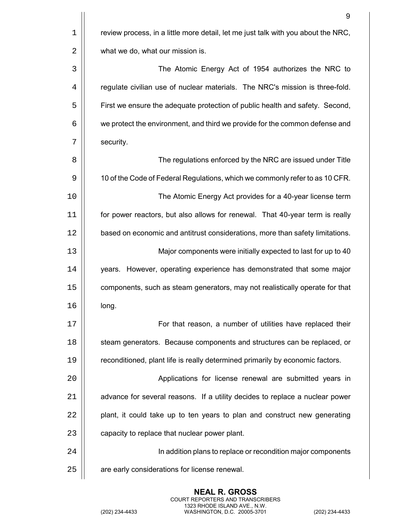|    | 9                                                                                 |
|----|-----------------------------------------------------------------------------------|
| 1  | review process, in a little more detail, let me just talk with you about the NRC, |
| 2  | what we do, what our mission is.                                                  |
| 3  | The Atomic Energy Act of 1954 authorizes the NRC to                               |
| 4  | regulate civilian use of nuclear materials. The NRC's mission is three-fold.      |
| 5  | First we ensure the adequate protection of public health and safety. Second,      |
| 6  | we protect the environment, and third we provide for the common defense and       |
| 7  | security.                                                                         |
| 8  | The regulations enforced by the NRC are issued under Title                        |
| 9  | 10 of the Code of Federal Regulations, which we commonly refer to as 10 CFR.      |
| 10 | The Atomic Energy Act provides for a 40-year license term                         |
| 11 | for power reactors, but also allows for renewal. That 40-year term is really      |
| 12 | based on economic and antitrust considerations, more than safety limitations.     |
| 13 | Major components were initially expected to last for up to 40                     |
| 14 | years. However, operating experience has demonstrated that some major             |
| 15 | components, such as steam generators, may not realistically operate for that      |
| 16 | long.                                                                             |
| 17 | For that reason, a number of utilities have replaced their                        |
| 18 | steam generators. Because components and structures can be replaced, or           |
| 19 | reconditioned, plant life is really determined primarily by economic factors.     |
| 20 | Applications for license renewal are submitted years in                           |
| 21 | advance for several reasons. If a utility decides to replace a nuclear power      |
| 22 | plant, it could take up to ten years to plan and construct new generating         |
| 23 | capacity to replace that nuclear power plant.                                     |
| 24 | In addition plans to replace or recondition major components                      |
| 25 | are early considerations for license renewal.                                     |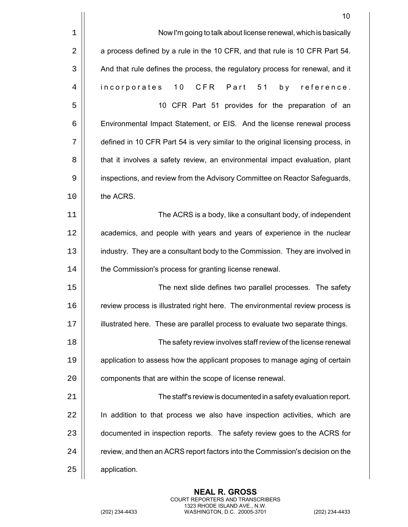|             | 10                                                                              |
|-------------|---------------------------------------------------------------------------------|
| $\mathbf 1$ | Now I'm going to talk about license renewal, which is basically                 |
| 2           | a process defined by a rule in the 10 CFR, and that rule is 10 CFR Part 54.     |
| 3           | And that rule defines the process, the regulatory process for renewal, and it   |
| 4           | CFR<br>Part<br>incorporates<br>10 <sub>o</sub><br>51<br>b v<br>reference.       |
| 5           | 10 CFR Part 51 provides for the preparation of an                               |
| 6           | Environmental Impact Statement, or EIS. And the license renewal process         |
| 7           | defined in 10 CFR Part 54 is very similar to the original licensing process, in |
| 8           | that it involves a safety review, an environmental impact evaluation, plant     |
| 9           | inspections, and review from the Advisory Committee on Reactor Safeguards,      |
| 10          | the ACRS.                                                                       |
| 11          | The ACRS is a body, like a consultant body, of independent                      |
| 12          | academics, and people with years and years of experience in the nuclear         |
| 13          | industry. They are a consultant body to the Commission. They are involved in    |
| 14          | the Commission's process for granting license renewal.                          |
| 15          | The next slide defines two parallel processes. The safety                       |
| 16          | review process is illustrated right here. The environmental review process is   |
| 17          | illustrated here. These are parallel process to evaluate two separate things.   |
| 18          | The safety review involves staff review of the license renewal                  |
| 19          | application to assess how the applicant proposes to manage aging of certain     |
| 20          | components that are within the scope of license renewal.                        |
| 21          | The staff's review is documented in a safety evaluation report.                 |
| 22          | In addition to that process we also have inspection activities, which are       |
| 23          | documented in inspection reports. The safety review goes to the ACRS for        |
| 24          | review, and then an ACRS report factors into the Commission's decision on the   |
| 25          | application.                                                                    |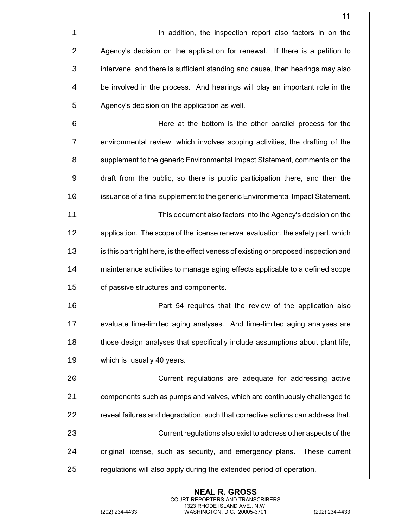1 | In addition, the inspection report also factors in on the 2 | Agency's decision on the application for renewal. If there is a petition to 3 | intervene, and there is sufficient standing and cause, then hearings may also 4 | be involved in the process. And hearings will play an important role in the  $5$   $\parallel$  Agency's decision on the application as well.

 Here at the bottom is the other parallel process for the 7 | environmental review, which involves scoping activities, the drafting of the  $\vert$  supplement to the generic Environmental Impact Statement, comments on the draft from the public, so there is public participation there, and then the issuance of a final supplement to the generic Environmental Impact Statement.

11 This document also factors into the Agency's decision on the 12 | application. The scope of the license renewal evaluation, the safety part, which 13 | is this part right here, is the effectiveness of existing or proposed inspection and 14 maintenance activities to manage aging effects applicable to a defined scope 15 | of passive structures and components.

 Part 54 requires that the review of the application also evaluate time-limited aging analyses. And time-limited aging analyses are  $\vert\vert$  those design analyses that specifically include assumptions about plant life, which is usually 40 years.

 Current regulations are adequate for addressing active **components such as pumps and valves, which are continuously challenged to**   $\parallel$  reveal failures and degradation, such that corrective actions can address that. Current regulations also exist to address other aspects of the 24 | original license, such as security, and emergency plans. These current | regulations will also apply during the extended period of operation.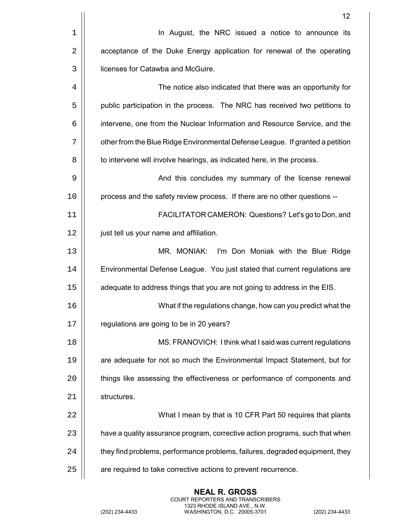|    | 12                                                                            |
|----|-------------------------------------------------------------------------------|
| 1  | In August, the NRC issued a notice to announce its                            |
| 2  | acceptance of the Duke Energy application for renewal of the operating        |
| 3  | licenses for Catawba and McGuire.                                             |
| 4  | The notice also indicated that there was an opportunity for                   |
| 5  | public participation in the process. The NRC has received two petitions to    |
| 6  | intervene, one from the Nuclear Information and Resource Service, and the     |
| 7  | other from the Blue Ridge Environmental Defense League. If granted a petition |
| 8  | to intervene will involve hearings, as indicated here, in the process.        |
| 9  | And this concludes my summary of the license renewal                          |
| 10 | process and the safety review process. If there are no other questions --     |
| 11 | FACILITATOR CAMERON: Questions? Let's go to Don, and                          |
| 12 | just tell us your name and affiliation.                                       |
| 13 | MR. MONIAK:<br>I'm Don Moniak with the Blue Ridge                             |
| 14 | Environmental Defense League. You just stated that current regulations are    |
| 15 | adequate to address things that you are not going to address in the EIS.      |
| 16 | What if the regulations change, how can you predict what the                  |
| 17 | regulations are going to be in 20 years?                                      |
| 18 | MS. FRANOVICH: I think what I said was current regulations                    |
| 19 | are adequate for not so much the Environmental Impact Statement, but for      |
| 20 | things like assessing the effectiveness or performance of components and      |
| 21 | structures.                                                                   |
| 22 | What I mean by that is 10 CFR Part 50 requires that plants                    |
| 23 | have a quality assurance program, corrective action programs, such that when  |
| 24 | they find problems, performance problems, failures, degraded equipment, they  |
| 25 | are required to take corrective actions to prevent recurrence.                |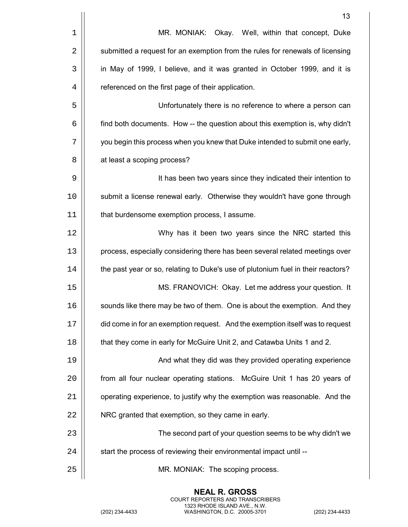|    | 13                                                                               |
|----|----------------------------------------------------------------------------------|
| 1  | MR. MONIAK: Okay. Well, within that concept, Duke                                |
| 2  | submitted a request for an exemption from the rules for renewals of licensing    |
| 3  | in May of 1999, I believe, and it was granted in October 1999, and it is         |
| 4  | referenced on the first page of their application.                               |
| 5  | Unfortunately there is no reference to where a person can                        |
| 6  | find both documents. How -- the question about this exemption is, why didn't     |
| 7  | you begin this process when you knew that Duke intended to submit one early,     |
| 8  | at least a scoping process?                                                      |
| 9  | It has been two years since they indicated their intention to                    |
| 10 | submit a license renewal early. Otherwise they wouldn't have gone through        |
| 11 | that burdensome exemption process, I assume.                                     |
| 12 | Why has it been two years since the NRC started this                             |
| 13 | process, especially considering there has been several related meetings over     |
| 14 | the past year or so, relating to Duke's use of plutonium fuel in their reactors? |
| 15 | MS. FRANOVICH: Okay. Let me address your question. It                            |
| 16 | sounds like there may be two of them. One is about the exemption. And they       |
| 17 | did come in for an exemption request. And the exemption itself was to request    |
| 18 | that they come in early for McGuire Unit 2, and Catawba Units 1 and 2.           |
| 19 | And what they did was they provided operating experience                         |
| 20 | from all four nuclear operating stations. McGuire Unit 1 has 20 years of         |
| 21 | operating experience, to justify why the exemption was reasonable. And the       |
| 22 | NRC granted that exemption, so they came in early.                               |
| 23 | The second part of your question seems to be why didn't we                       |
| 24 | start the process of reviewing their environmental impact until --               |
| 25 | MR. MONIAK: The scoping process.                                                 |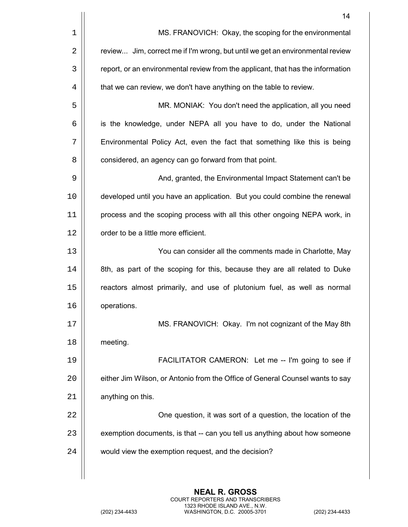|    | 14                                                                              |
|----|---------------------------------------------------------------------------------|
| 1  | MS. FRANOVICH: Okay, the scoping for the environmental                          |
| 2  | review Jim, correct me if I'm wrong, but until we get an environmental review   |
| 3  | report, or an environmental review from the applicant, that has the information |
| 4  | that we can review, we don't have anything on the table to review.              |
| 5  | MR. MONIAK: You don't need the application, all you need                        |
| 6  | is the knowledge, under NEPA all you have to do, under the National             |
| 7  | Environmental Policy Act, even the fact that something like this is being       |
| 8  | considered, an agency can go forward from that point.                           |
| 9  | And, granted, the Environmental Impact Statement can't be                       |
| 10 | developed until you have an application. But you could combine the renewal      |
| 11 | process and the scoping process with all this other ongoing NEPA work, in       |
| 12 | order to be a little more efficient.                                            |
| 13 | You can consider all the comments made in Charlotte, May                        |
| 14 | 8th, as part of the scoping for this, because they are all related to Duke      |
| 15 | reactors almost primarily, and use of plutonium fuel, as well as normal         |
| 16 | operations.                                                                     |
| 17 | MS. FRANOVICH: Okay. I'm not cognizant of the May 8th                           |
| 18 | meeting.                                                                        |
| 19 | FACILITATOR CAMERON: Let me -- I'm going to see if                              |
| 20 | either Jim Wilson, or Antonio from the Office of General Counsel wants to say   |
| 21 | anything on this.                                                               |
| 22 | One question, it was sort of a question, the location of the                    |
| 23 | exemption documents, is that -- can you tell us anything about how someone      |
| 24 | would view the exemption request, and the decision?                             |
|    |                                                                                 |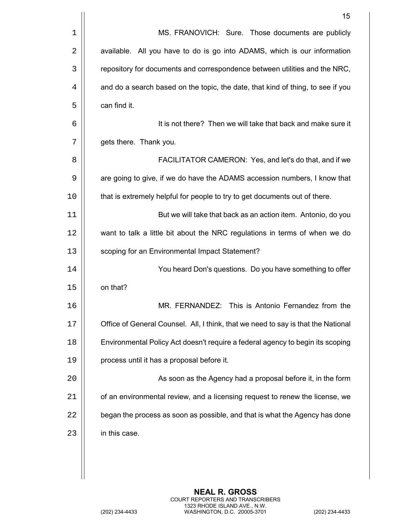|    | 15                                                                                |
|----|-----------------------------------------------------------------------------------|
| 1  | MS. FRANOVICH: Sure. Those documents are publicly                                 |
| 2  | available. All you have to do is go into ADAMS, which is our information          |
| 3  | repository for documents and correspondence between utilities and the NRC,        |
| 4  | and do a search based on the topic, the date, that kind of thing, to see if you   |
| 5  | can find it.                                                                      |
| 6  | It is not there? Then we will take that back and make sure it                     |
| 7  | gets there. Thank you.                                                            |
| 8  | FACILITATOR CAMERON: Yes, and let's do that, and if we                            |
| 9  | are going to give, if we do have the ADAMS accession numbers, I know that         |
| 10 | that is extremely helpful for people to try to get documents out of there.        |
| 11 | But we will take that back as an action item. Antonio, do you                     |
| 12 | want to talk a little bit about the NRC regulations in terms of when we do        |
| 13 | scoping for an Environmental Impact Statement?                                    |
| 14 | You heard Don's questions. Do you have something to offer                         |
| 15 | on that?                                                                          |
| 16 | MR. FERNANDEZ: This is Antonio Fernandez from the                                 |
| 17 | Office of General Counsel. All, I think, that we need to say is that the National |
| 18 | Environmental Policy Act doesn't require a federal agency to begin its scoping    |
| 19 | process until it has a proposal before it.                                        |
| 20 | As soon as the Agency had a proposal before it, in the form                       |
| 21 | of an environmental review, and a licensing request to renew the license, we      |
| 22 | began the process as soon as possible, and that is what the Agency has done       |
| 23 | in this case.                                                                     |
|    |                                                                                   |
|    |                                                                                   |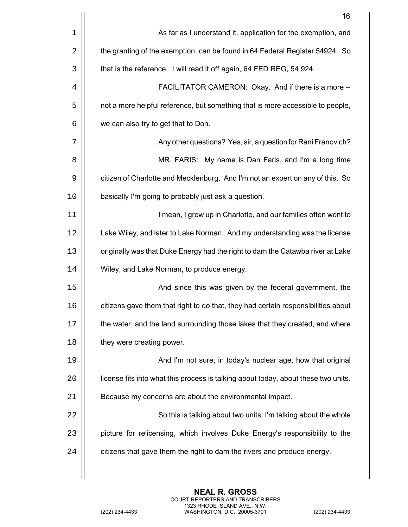|    | 16                                                                                 |
|----|------------------------------------------------------------------------------------|
| 1  | As far as I understand it, application for the exemption, and                      |
| 2  | the granting of the exemption, can be found in 64 Federal Register 54924. So       |
| 3  | that is the reference. I will read it off again, 64 FED REG, 54 924.               |
| 4  | FACILITATOR CAMERON: Okay. And if there is a more --                               |
| 5  | not a more helpful reference, but something that is more accessible to people,     |
| 6  | we can also try to get that to Don.                                                |
| 7  | Any other questions? Yes, sir, a question for Rani Franovich?                      |
| 8  | MR. FARIS: My name is Dan Faris, and I'm a long time                               |
| 9  | citizen of Charlotte and Mecklenburg. And I'm not an expert on any of this. So     |
| 10 | basically I'm going to probably just ask a question.                               |
| 11 | I mean, I grew up in Charlotte, and our families often went to                     |
| 12 | Lake Wiley, and later to Lake Norman. And my understanding was the license         |
| 13 | originally was that Duke Energy had the right to dam the Catawba river at Lake     |
| 14 | Wiley, and Lake Norman, to produce energy.                                         |
| 15 | And since this was given by the federal government, the                            |
| 16 | citizens gave them that right to do that, they had certain responsibilities about  |
| 17 | the water, and the land surrounding those lakes that they created, and where       |
| 18 | they were creating power.                                                          |
| 19 | And I'm not sure, in today's nuclear age, how that original                        |
| 20 | license fits into what this process is talking about today, about these two units. |
| 21 | Because my concerns are about the environmental impact.                            |
| 22 | So this is talking about two units, I'm talking about the whole                    |
| 23 | picture for relicensing, which involves Duke Energy's responsibility to the        |
| 24 | citizens that gave them the right to dam the rivers and produce energy.            |
|    |                                                                                    |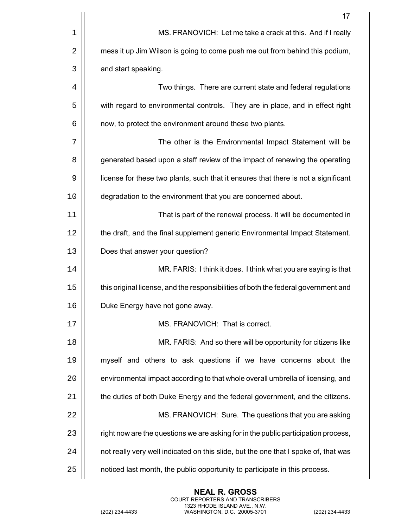|    | 17                                                                                  |
|----|-------------------------------------------------------------------------------------|
| 1  | MS. FRANOVICH: Let me take a crack at this. And if I really                         |
| 2  | mess it up Jim Wilson is going to come push me out from behind this podium,         |
| 3  | and start speaking.                                                                 |
| 4  | Two things. There are current state and federal regulations                         |
| 5  | with regard to environmental controls. They are in place, and in effect right       |
| 6  | now, to protect the environment around these two plants.                            |
| 7  | The other is the Environmental Impact Statement will be                             |
| 8  | generated based upon a staff review of the impact of renewing the operating         |
| 9  | license for these two plants, such that it ensures that there is not a significant  |
| 10 | degradation to the environment that you are concerned about.                        |
| 11 | That is part of the renewal process. It will be documented in                       |
| 12 | the draft, and the final supplement generic Environmental Impact Statement.         |
| 13 | Does that answer your question?                                                     |
| 14 | MR. FARIS: I think it does. I think what you are saying is that                     |
| 15 | this original license, and the responsibilities of both the federal government and  |
| 16 | Duke Energy have not gone away.                                                     |
| 17 | MS. FRANOVICH: That is correct.                                                     |
| 18 | MR. FARIS: And so there will be opportunity for citizens like                       |
| 19 | myself and others to ask questions if we have concerns about the                    |
| 20 | environmental impact according to that whole overall umbrella of licensing, and     |
| 21 | the duties of both Duke Energy and the federal government, and the citizens.        |
| 22 | MS. FRANOVICH: Sure. The questions that you are asking                              |
| 23 | right now are the questions we are asking for in the public participation process,  |
| 24 | not really very well indicated on this slide, but the one that I spoke of, that was |
| 25 | noticed last month, the public opportunity to participate in this process.          |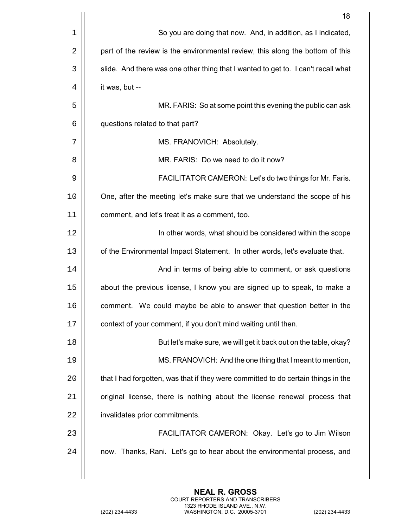|    | 18                                                                                |
|----|-----------------------------------------------------------------------------------|
| 1  | So you are doing that now. And, in addition, as I indicated,                      |
| 2  | part of the review is the environmental review, this along the bottom of this     |
| 3  | slide. And there was one other thing that I wanted to get to. I can't recall what |
| 4  | it was, but --                                                                    |
| 5  | MR. FARIS: So at some point this evening the public can ask                       |
| 6  | questions related to that part?                                                   |
| 7  | MS. FRANOVICH: Absolutely.                                                        |
| 8  | MR. FARIS: Do we need to do it now?                                               |
| 9  | FACILITATOR CAMERON: Let's do two things for Mr. Faris.                           |
| 10 | One, after the meeting let's make sure that we understand the scope of his        |
| 11 | comment, and let's treat it as a comment, too.                                    |
| 12 | In other words, what should be considered within the scope                        |
| 13 | of the Environmental Impact Statement. In other words, let's evaluate that.       |
| 14 | And in terms of being able to comment, or ask questions                           |
| 15 | about the previous license, I know you are signed up to speak, to make a          |
| 16 | comment. We could maybe be able to answer that question better in the             |
| 17 | context of your comment, if you don't mind waiting until then.                    |
| 18 | But let's make sure, we will get it back out on the table, okay?                  |
| 19 | MS. FRANOVICH: And the one thing that I meant to mention,                         |
| 20 | that I had forgotten, was that if they were committed to do certain things in the |
| 21 | original license, there is nothing about the license renewal process that         |
| 22 | invalidates prior commitments.                                                    |
| 23 | FACILITATOR CAMERON: Okay. Let's go to Jim Wilson                                 |
| 24 | now. Thanks, Rani. Let's go to hear about the environmental process, and          |
|    |                                                                                   |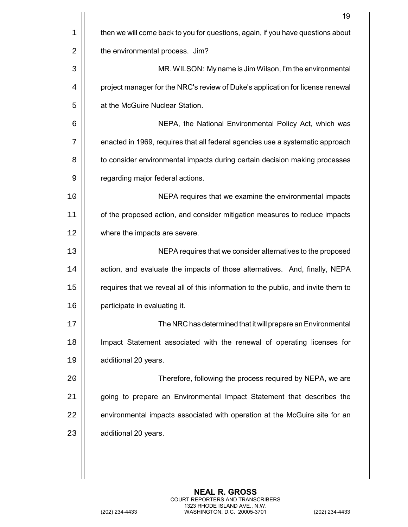|             | 19                                                                                |
|-------------|-----------------------------------------------------------------------------------|
| $\mathbf 1$ | then we will come back to you for questions, again, if you have questions about   |
| 2           | the environmental process. Jim?                                                   |
| 3           | MR. WILSON: My name is Jim Wilson, I'm the environmental                          |
| 4           | project manager for the NRC's review of Duke's application for license renewal    |
| 5           | at the McGuire Nuclear Station.                                                   |
| 6           | NEPA, the National Environmental Policy Act, which was                            |
| 7           | enacted in 1969, requires that all federal agencies use a systematic approach     |
| 8           | to consider environmental impacts during certain decision making processes        |
| 9           | regarding major federal actions.                                                  |
| 10          | NEPA requires that we examine the environmental impacts                           |
| 11          | of the proposed action, and consider mitigation measures to reduce impacts        |
| 12          | where the impacts are severe.                                                     |
| 13          | NEPA requires that we consider alternatives to the proposed                       |
| 14          | action, and evaluate the impacts of those alternatives. And, finally, NEPA        |
| 15          | requires that we reveal all of this information to the public, and invite them to |
| 16          | participate in evaluating it.                                                     |
| 17          | The NRC has determined that it will prepare an Environmental                      |
| 18          | Impact Statement associated with the renewal of operating licenses for            |
| 19          | additional 20 years.                                                              |
| 20          | Therefore, following the process required by NEPA, we are                         |
| 21          | going to prepare an Environmental Impact Statement that describes the             |
| 22          | environmental impacts associated with operation at the McGuire site for an        |
| 23          | additional 20 years.                                                              |
|             |                                                                                   |
|             |                                                                                   |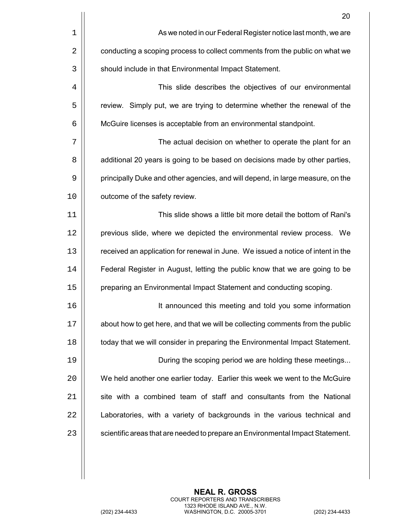|    | 20                                                                               |
|----|----------------------------------------------------------------------------------|
| 1  | As we noted in our Federal Register notice last month, we are                    |
| 2  | conducting a scoping process to collect comments from the public on what we      |
| 3  | should include in that Environmental Impact Statement.                           |
| 4  | This slide describes the objectives of our environmental                         |
| 5  | review. Simply put, we are trying to determine whether the renewal of the        |
| 6  | McGuire licenses is acceptable from an environmental standpoint.                 |
| 7  | The actual decision on whether to operate the plant for an                       |
| 8  | additional 20 years is going to be based on decisions made by other parties,     |
| 9  | principally Duke and other agencies, and will depend, in large measure, on the   |
| 10 | outcome of the safety review.                                                    |
| 11 | This slide shows a little bit more detail the bottom of Rani's                   |
| 12 | previous slide, where we depicted the environmental review process. We           |
| 13 | received an application for renewal in June. We issued a notice of intent in the |
| 14 | Federal Register in August, letting the public know that we are going to be      |
| 15 | preparing an Environmental Impact Statement and conducting scoping.              |
| 16 | It announced this meeting and told you some information                          |
| 17 | about how to get here, and that we will be collecting comments from the public   |
| 18 | today that we will consider in preparing the Environmental Impact Statement.     |
| 19 | During the scoping period we are holding these meetings                          |
| 20 | We held another one earlier today. Earlier this week we went to the McGuire      |
| 21 | site with a combined team of staff and consultants from the National             |
| 22 | Laboratories, with a variety of backgrounds in the various technical and         |
| 23 | scientific areas that are needed to prepare an Environmental Impact Statement.   |
|    |                                                                                  |
|    |                                                                                  |

 $\mathop{\text{||}}$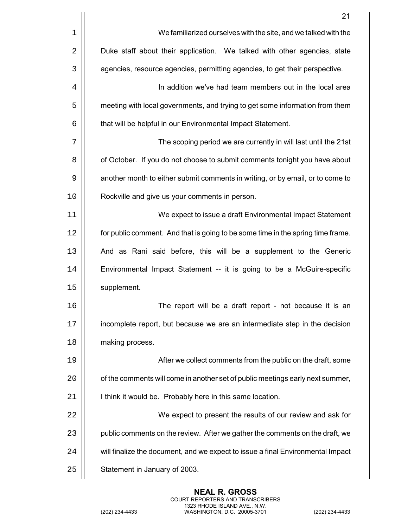|    | 21                                                                              |
|----|---------------------------------------------------------------------------------|
| 1  | We familiarized ourselves with the site, and we talked with the                 |
| 2  | Duke staff about their application. We talked with other agencies, state        |
| 3  | agencies, resource agencies, permitting agencies, to get their perspective.     |
| 4  | In addition we've had team members out in the local area                        |
| 5  | meeting with local governments, and trying to get some information from them    |
| 6  | that will be helpful in our Environmental Impact Statement.                     |
| 7  | The scoping period we are currently in will last until the 21st                 |
| 8  | of October. If you do not choose to submit comments tonight you have about      |
| 9  | another month to either submit comments in writing, or by email, or to come to  |
| 10 | Rockville and give us your comments in person.                                  |
| 11 | We expect to issue a draft Environmental Impact Statement                       |
| 12 | for public comment. And that is going to be some time in the spring time frame. |
| 13 | And as Rani said before, this will be a supplement to the Generic               |
| 14 | Environmental Impact Statement -- it is going to be a McGuire-specific          |
| 15 | supplement.                                                                     |
| 16 | The report will be a draft report - not because it is an                        |
| 17 | incomplete report, but because we are an intermediate step in the decision      |
| 18 | making process.                                                                 |
| 19 | After we collect comments from the public on the draft, some                    |
| 20 | of the comments will come in another set of public meetings early next summer,  |
| 21 | I think it would be. Probably here in this same location.                       |
| 22 | We expect to present the results of our review and ask for                      |
| 23 | public comments on the review. After we gather the comments on the draft, we    |
| 24 | will finalize the document, and we expect to issue a final Environmental Impact |
| 25 | Statement in January of 2003.                                                   |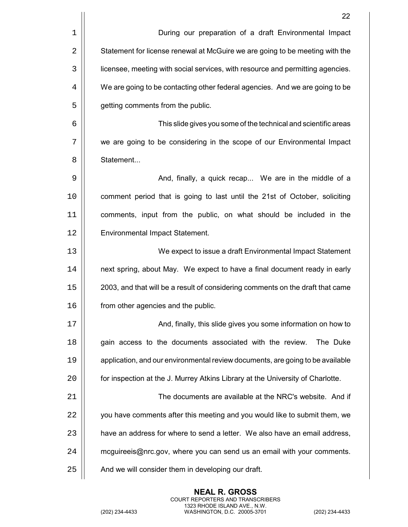|    | 22                                                                             |
|----|--------------------------------------------------------------------------------|
| 1  | During our preparation of a draft Environmental Impact                         |
| 2  | Statement for license renewal at McGuire we are going to be meeting with the   |
| 3  | licensee, meeting with social services, with resource and permitting agencies. |
| 4  | We are going to be contacting other federal agencies. And we are going to be   |
| 5  | getting comments from the public.                                              |
| 6  | This slide gives you some of the technical and scientific areas                |
| 7  | we are going to be considering in the scope of our Environmental Impact        |
| 8  | Statement                                                                      |
| 9  | And, finally, a quick recap We are in the middle of a                          |
| 10 | comment period that is going to last until the 21st of October, soliciting     |
| 11 | comments, input from the public, on what should be included in the             |
| 12 | Environmental Impact Statement.                                                |
| 13 | We expect to issue a draft Environmental Impact Statement                      |
| 14 | next spring, about May. We expect to have a final document ready in early      |
| 15 | 2003, and that will be a result of considering comments on the draft that came |
| 16 | from other agencies and the public.                                            |
| 17 | And, finally, this slide gives you some information on how to                  |
| 18 | gain access to the documents associated with the review.<br>The Duke           |
| 19 | application, and our environmental review documents, are going to be available |
| 20 | for inspection at the J. Murrey Atkins Library at the University of Charlotte. |
| 21 | The documents are available at the NRC's website. And if                       |
| 22 | you have comments after this meeting and you would like to submit them, we     |
| 23 | have an address for where to send a letter. We also have an email address,     |
| 24 | mcguireeis@nrc.gov, where you can send us an email with your comments.         |
| 25 | And we will consider them in developing our draft.                             |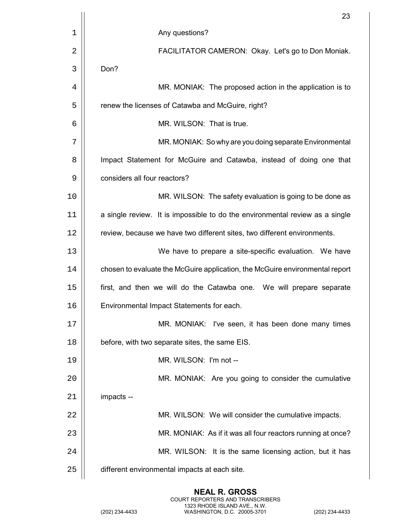|    | 23                                                                           |
|----|------------------------------------------------------------------------------|
| 1  | Any questions?                                                               |
| 2  | FACILITATOR CAMERON: Okay. Let's go to Don Moniak.                           |
| 3  | Don?                                                                         |
| 4  | MR. MONIAK: The proposed action in the application is to                     |
| 5  | renew the licenses of Catawba and McGuire, right?                            |
| 6  | MR. WILSON: That is true.                                                    |
| 7  | MR. MONIAK: So why are you doing separate Environmental                      |
| 8  | Impact Statement for McGuire and Catawba, instead of doing one that          |
| 9  | considers all four reactors?                                                 |
| 10 | MR. WILSON: The safety evaluation is going to be done as                     |
| 11 | a single review. It is impossible to do the environmental review as a single |
| 12 | review, because we have two different sites, two different environments.     |
| 13 | We have to prepare a site-specific evaluation. We have                       |
| 14 | chosen to evaluate the McGuire application, the McGuire environmental report |
| 15 | first, and then we will do the Catawba one. We will prepare separate         |
| 16 | Environmental Impact Statements for each.                                    |
| 17 | MR. MONIAK: I've seen, it has been done many times                           |
| 18 | before, with two separate sites, the same EIS.                               |
| 19 | MR. WILSON: I'm not --                                                       |
| 20 | MR. MONIAK: Are you going to consider the cumulative                         |
| 21 | impacts --                                                                   |
| 22 | MR. WILSON: We will consider the cumulative impacts.                         |
| 23 | MR. MONIAK: As if it was all four reactors running at once?                  |
| 24 | MR. WILSON: It is the same licensing action, but it has                      |
| 25 | different environmental impacts at each site.                                |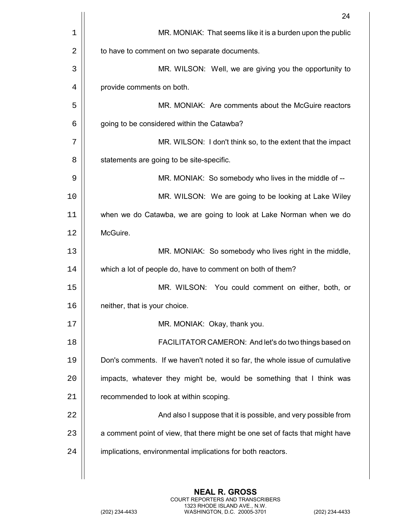|    | 24                                                                            |
|----|-------------------------------------------------------------------------------|
| 1  | MR. MONIAK: That seems like it is a burden upon the public                    |
| 2  | to have to comment on two separate documents.                                 |
| 3  | MR. WILSON: Well, we are giving you the opportunity to                        |
| 4  | provide comments on both.                                                     |
| 5  | MR. MONIAK: Are comments about the McGuire reactors                           |
| 6  | going to be considered within the Catawba?                                    |
| 7  | MR. WILSON: I don't think so, to the extent that the impact                   |
| 8  | statements are going to be site-specific.                                     |
| 9  | MR. MONIAK: So somebody who lives in the middle of --                         |
| 10 | MR. WILSON: We are going to be looking at Lake Wiley                          |
| 11 | when we do Catawba, we are going to look at Lake Norman when we do            |
| 12 | McGuire.                                                                      |
| 13 | MR. MONIAK: So somebody who lives right in the middle,                        |
| 14 | which a lot of people do, have to comment on both of them?                    |
| 15 | MR. WILSON: You could comment on either, both, or                             |
| 16 | neither, that is your choice.                                                 |
| 17 | MR. MONIAK: Okay, thank you.                                                  |
| 18 | FACILITATOR CAMERON: And let's do two things based on                         |
| 19 | Don's comments. If we haven't noted it so far, the whole issue of cumulative  |
| 20 | impacts, whatever they might be, would be something that I think was          |
| 21 | recommended to look at within scoping.                                        |
| 22 | And also I suppose that it is possible, and very possible from                |
| 23 | a comment point of view, that there might be one set of facts that might have |
| 24 | implications, environmental implications for both reactors.                   |
|    |                                                                               |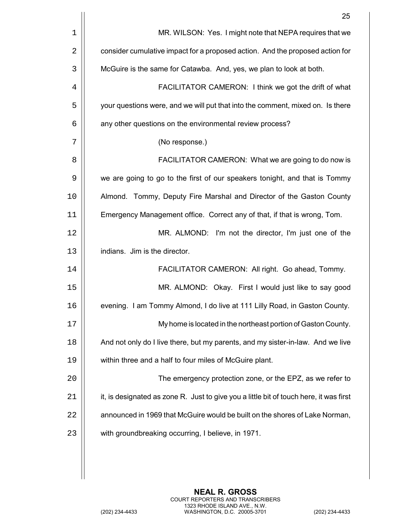|             | 25                                                                                     |
|-------------|----------------------------------------------------------------------------------------|
| $\mathbf 1$ | MR. WILSON: Yes. I might note that NEPA requires that we                               |
| 2           | consider cumulative impact for a proposed action. And the proposed action for          |
| 3           | McGuire is the same for Catawba. And, yes, we plan to look at both.                    |
| 4           | FACILITATOR CAMERON: I think we got the drift of what                                  |
| 5           | your questions were, and we will put that into the comment, mixed on. Is there         |
| 6           | any other questions on the environmental review process?                               |
| 7           | (No response.)                                                                         |
| 8           | FACILITATOR CAMERON: What we are going to do now is                                    |
| 9           | we are going to go to the first of our speakers tonight, and that is Tommy             |
| 10          | Almond. Tommy, Deputy Fire Marshal and Director of the Gaston County                   |
| 11          | Emergency Management office. Correct any of that, if that is wrong, Tom.               |
| 12          | MR. ALMOND: I'm not the director, I'm just one of the                                  |
| 13          | indians. Jim is the director.                                                          |
| 14          | FACILITATOR CAMERON: All right. Go ahead, Tommy.                                       |
| 15          | MR. ALMOND: Okay. First I would just like to say good                                  |
| 16          | evening. I am Tommy Almond, I do live at 111 Lilly Road, in Gaston County.             |
| 17          | My home is located in the northeast portion of Gaston County.                          |
| 18          | And not only do I live there, but my parents, and my sister-in-law. And we live        |
| 19          | within three and a half to four miles of McGuire plant.                                |
| 20          | The emergency protection zone, or the EPZ, as we refer to                              |
| 21          | it, is designated as zone R. Just to give you a little bit of touch here, it was first |
| 22          | announced in 1969 that McGuire would be built on the shores of Lake Norman,            |
| 23          | with groundbreaking occurring, I believe, in 1971.                                     |
|             |                                                                                        |
|             |                                                                                        |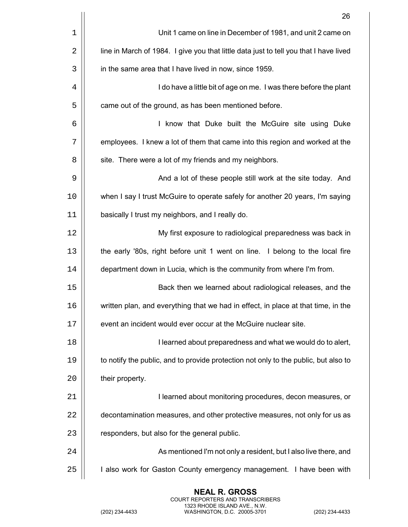|    | 26                                                                                    |
|----|---------------------------------------------------------------------------------------|
| 1  | Unit 1 came on line in December of 1981, and unit 2 came on                           |
| 2  | line in March of 1984. I give you that little data just to tell you that I have lived |
| 3  | in the same area that I have lived in now, since 1959.                                |
| 4  | I do have a little bit of age on me. I was there before the plant                     |
| 5  | came out of the ground, as has been mentioned before.                                 |
| 6  | I know that Duke built the McGuire site using Duke                                    |
| 7  | employees. I knew a lot of them that came into this region and worked at the          |
| 8  | site. There were a lot of my friends and my neighbors.                                |
| 9  | And a lot of these people still work at the site today. And                           |
| 10 | when I say I trust McGuire to operate safely for another 20 years, I'm saying         |
| 11 | basically I trust my neighbors, and I really do.                                      |
| 12 | My first exposure to radiological preparedness was back in                            |
| 13 | the early '80s, right before unit 1 went on line. I belong to the local fire          |
| 14 | department down in Lucia, which is the community from where I'm from.                 |
| 15 | Back then we learned about radiological releases, and the                             |
| 16 | written plan, and everything that we had in effect, in place at that time, in the     |
| 17 | event an incident would ever occur at the McGuire nuclear site.                       |
| 18 | I learned about preparedness and what we would do to alert,                           |
| 19 | to notify the public, and to provide protection not only to the public, but also to   |
| 20 | their property.                                                                       |
| 21 | I learned about monitoring procedures, decon measures, or                             |
| 22 | decontamination measures, and other protective measures, not only for us as           |
| 23 | responders, but also for the general public.                                          |
| 24 | As mentioned I'm not only a resident, but I also live there, and                      |
| 25 | I also work for Gaston County emergency management. I have been with                  |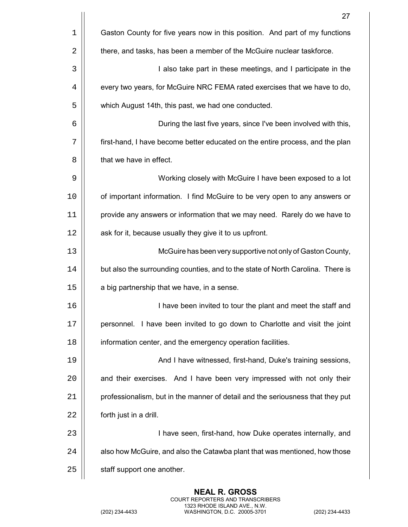|             | 27                                                                              |
|-------------|---------------------------------------------------------------------------------|
| $\mathbf 1$ | Gaston County for five years now in this position. And part of my functions     |
| 2           | there, and tasks, has been a member of the McGuire nuclear taskforce.           |
| 3           | I also take part in these meetings, and I participate in the                    |
| 4           | every two years, for McGuire NRC FEMA rated exercises that we have to do,       |
| 5           | which August 14th, this past, we had one conducted.                             |
| 6           | During the last five years, since I've been involved with this,                 |
| 7           | first-hand, I have become better educated on the entire process, and the plan   |
| 8           | that we have in effect.                                                         |
| 9           | Working closely with McGuire I have been exposed to a lot                       |
| 10          | of important information. I find McGuire to be very open to any answers or      |
| 11          | provide any answers or information that we may need. Rarely do we have to       |
| 12          | ask for it, because usually they give it to us upfront.                         |
| 13          | McGuire has been very supportive not only of Gaston County,                     |
| 14          | but also the surrounding counties, and to the state of North Carolina. There is |
| 15          | a big partnership that we have, in a sense.                                     |
| 16          | I have been invited to tour the plant and meet the staff and                    |
| 17          | personnel. I have been invited to go down to Charlotte and visit the joint      |
| 18          | information center, and the emergency operation facilities.                     |
| 19          | And I have witnessed, first-hand, Duke's training sessions,                     |
| 20          | and their exercises. And I have been very impressed with not only their         |
| 21          | professionalism, but in the manner of detail and the seriousness that they put  |
| 22          | forth just in a drill.                                                          |
| 23          | I have seen, first-hand, how Duke operates internally, and                      |
| 24          | also how McGuire, and also the Catawba plant that was mentioned, how those      |
| 25          | staff support one another.                                                      |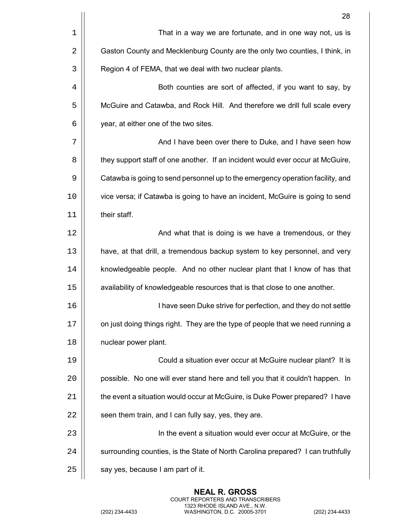|    | 28                                                                              |
|----|---------------------------------------------------------------------------------|
| 1  | That in a way we are fortunate, and in one way not, us is                       |
| 2  | Gaston County and Mecklenburg County are the only two counties, I think, in     |
| 3  | Region 4 of FEMA, that we deal with two nuclear plants.                         |
| 4  | Both counties are sort of affected, if you want to say, by                      |
| 5  | McGuire and Catawba, and Rock Hill. And therefore we drill full scale every     |
| 6  | year, at either one of the two sites.                                           |
| 7  | And I have been over there to Duke, and I have seen how                         |
| 8  | they support staff of one another. If an incident would ever occur at McGuire,  |
| 9  | Catawba is going to send personnel up to the emergency operation facility, and  |
| 10 | vice versa; if Catawba is going to have an incident, McGuire is going to send   |
| 11 | their staff.                                                                    |
| 12 | And what that is doing is we have a tremendous, or they                         |
| 13 | have, at that drill, a tremendous backup system to key personnel, and very      |
| 14 | knowledgeable people. And no other nuclear plant that I know of has that        |
| 15 | availability of knowledgeable resources that is that close to one another.      |
| 16 | I have seen Duke strive for perfection, and they do not settle                  |
| 17 | on just doing things right. They are the type of people that we need running a  |
| 18 | nuclear power plant.                                                            |
| 19 | Could a situation ever occur at McGuire nuclear plant? It is                    |
| 20 | possible. No one will ever stand here and tell you that it couldn't happen. In  |
| 21 | the event a situation would occur at McGuire, is Duke Power prepared? I have    |
| 22 | seen them train, and I can fully say, yes, they are.                            |
| 23 | In the event a situation would ever occur at McGuire, or the                    |
| 24 | surrounding counties, is the State of North Carolina prepared? I can truthfully |
| 25 | say yes, because I am part of it.                                               |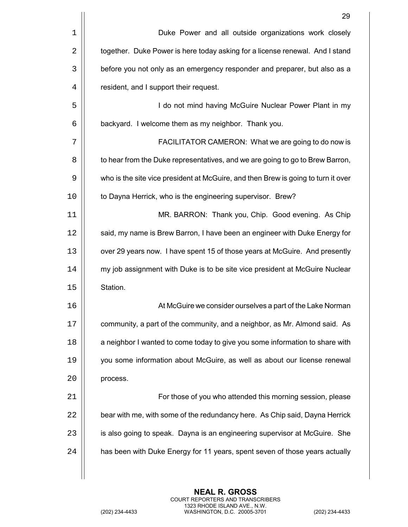|    | 29                                                                                |
|----|-----------------------------------------------------------------------------------|
| 1  | Duke Power and all outside organizations work closely                             |
| 2  | together. Duke Power is here today asking for a license renewal. And I stand      |
| 3  | before you not only as an emergency responder and preparer, but also as a         |
| 4  | resident, and I support their request.                                            |
| 5  | I do not mind having McGuire Nuclear Power Plant in my                            |
| 6  | backyard. I welcome them as my neighbor. Thank you.                               |
| 7  | FACILITATOR CAMERON: What we are going to do now is                               |
| 8  | to hear from the Duke representatives, and we are going to go to Brew Barron,     |
| 9  | who is the site vice president at McGuire, and then Brew is going to turn it over |
| 10 | to Dayna Herrick, who is the engineering supervisor. Brew?                        |
| 11 | MR. BARRON: Thank you, Chip. Good evening. As Chip                                |
| 12 | said, my name is Brew Barron, I have been an engineer with Duke Energy for        |
| 13 | over 29 years now. I have spent 15 of those years at McGuire. And presently       |
| 14 | my job assignment with Duke is to be site vice president at McGuire Nuclear       |
| 15 | Station.                                                                          |
| 16 | At McGuire we consider ourselves a part of the Lake Norman                        |
| 17 | community, a part of the community, and a neighbor, as Mr. Almond said. As        |
| 18 | a neighbor I wanted to come today to give you some information to share with      |
| 19 | you some information about McGuire, as well as about our license renewal          |
| 20 | process.                                                                          |
| 21 | For those of you who attended this morning session, please                        |
| 22 | bear with me, with some of the redundancy here. As Chip said, Dayna Herrick       |
| 23 | is also going to speak. Dayna is an engineering supervisor at McGuire. She        |
| 24 | has been with Duke Energy for 11 years, spent seven of those years actually       |
|    |                                                                                   |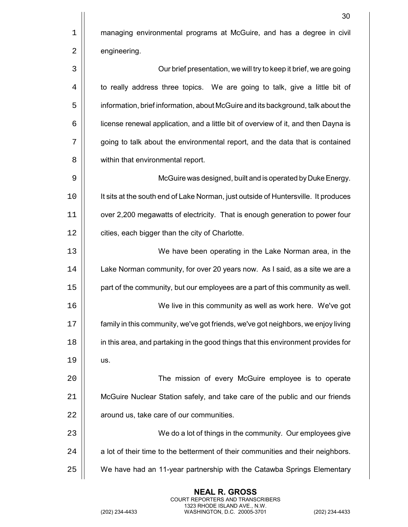|      | 30                                                                                 |
|------|------------------------------------------------------------------------------------|
| 1    | managing environmental programs at McGuire, and has a degree in civil              |
| 2    | engineering.                                                                       |
| 3    | Our brief presentation, we will try to keep it brief, we are going                 |
| 4    | to really address three topics. We are going to talk, give a little bit of         |
| 5    | information, brief information, about McGuire and its background, talk about the   |
| 6    | license renewal application, and a little bit of overview of it, and then Dayna is |
| 7    | going to talk about the environmental report, and the data that is contained       |
| 8    | within that environmental report.                                                  |
| 9    | McGuire was designed, built and is operated by Duke Energy.                        |
| 10   | It sits at the south end of Lake Norman, just outside of Huntersville. It produces |
| 11   | over 2,200 megawatts of electricity. That is enough generation to power four       |
| 12   | cities, each bigger than the city of Charlotte.                                    |
| 13   | We have been operating in the Lake Norman area, in the                             |
| 14   | Lake Norman community, for over 20 years now. As I said, as a site we are a        |
| 15   | part of the community, but our employees are a part of this community as well.     |
| 16   | We live in this community as well as work here. We've got                          |
| $17$ | family in this community, we've got friends, we've got neighbors, we enjoy living  |
| 18   | in this area, and partaking in the good things that this environment provides for  |
| 19   | US.                                                                                |
| 20   | The mission of every McGuire employee is to operate                                |
| 21   | McGuire Nuclear Station safely, and take care of the public and our friends        |
| 22   | around us, take care of our communities.                                           |
| 23   | We do a lot of things in the community. Our employees give                         |
| 24   | a lot of their time to the betterment of their communities and their neighbors.    |
| 25   | We have had an 11-year partnership with the Catawba Springs Elementary             |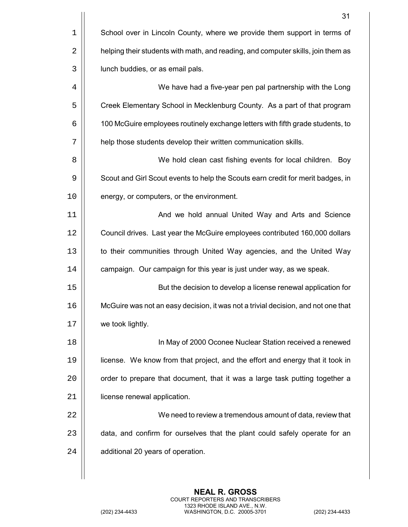|             | 31                                                                                |
|-------------|-----------------------------------------------------------------------------------|
| $\mathbf 1$ | School over in Lincoln County, where we provide them support in terms of          |
| 2           | helping their students with math, and reading, and computer skills, join them as  |
| 3           | lunch buddies, or as email pals.                                                  |
| 4           | We have had a five-year pen pal partnership with the Long                         |
| 5           | Creek Elementary School in Mecklenburg County. As a part of that program          |
| 6           | 100 McGuire employees routinely exchange letters with fifth grade students, to    |
| 7           | help those students develop their written communication skills.                   |
| 8           | We hold clean cast fishing events for local children. Boy                         |
| 9           | Scout and Girl Scout events to help the Scouts earn credit for merit badges, in   |
| 10          | energy, or computers, or the environment.                                         |
| 11          | And we hold annual United Way and Arts and Science                                |
| 12          | Council drives. Last year the McGuire employees contributed 160,000 dollars       |
| 13          | to their communities through United Way agencies, and the United Way              |
| 14          | campaign. Our campaign for this year is just under way, as we speak.              |
| 15          | But the decision to develop a license renewal application for                     |
| 16          | McGuire was not an easy decision, it was not a trivial decision, and not one that |
| 17          | we took lightly.                                                                  |
| 18          | In May of 2000 Oconee Nuclear Station received a renewed                          |
| 19          | license. We know from that project, and the effort and energy that it took in     |
| 20          | order to prepare that document, that it was a large task putting together a       |
| 21          | license renewal application.                                                      |
| 22          | We need to review a tremendous amount of data, review that                        |
| 23          | data, and confirm for ourselves that the plant could safely operate for an        |
| 24          | additional 20 years of operation.                                                 |
|             |                                                                                   |

**NEAL R. GROSS** COURT REPORTERS AND TRANSCRIBERS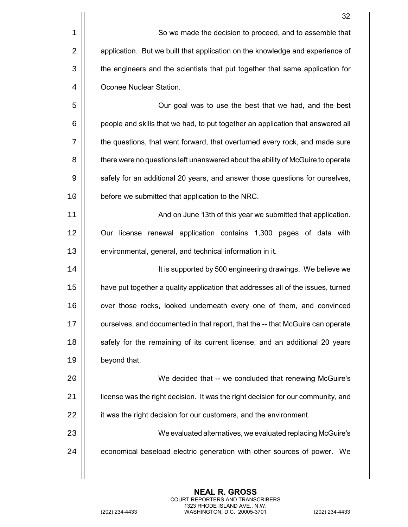|    | 32                                                                               |
|----|----------------------------------------------------------------------------------|
| 1  | So we made the decision to proceed, and to assemble that                         |
| 2  | application. But we built that application on the knowledge and experience of    |
| 3  | the engineers and the scientists that put together that same application for     |
| 4  | Oconee Nuclear Station.                                                          |
| 5  | Our goal was to use the best that we had, and the best                           |
| 6  | people and skills that we had, to put together an application that answered all  |
| 7  | the questions, that went forward, that overturned every rock, and made sure      |
| 8  | there were no questions left unanswered about the ability of McGuire to operate  |
| 9  | safely for an additional 20 years, and answer those questions for ourselves,     |
| 10 | before we submitted that application to the NRC.                                 |
| 11 | And on June 13th of this year we submitted that application.                     |
| 12 | Our license renewal application contains 1,300 pages of data with                |
| 13 | environmental, general, and technical information in it.                         |
| 14 | It is supported by 500 engineering drawings. We believe we                       |
| 15 | have put together a quality application that addresses all of the issues, turned |
| 16 | over those rocks, looked underneath every one of them, and convinced             |
| 17 | ourselves, and documented in that report, that the -- that McGuire can operate   |
| 18 | safely for the remaining of its current license, and an additional 20 years      |
| 19 | beyond that.                                                                     |
| 20 | We decided that -- we concluded that renewing McGuire's                          |
| 21 | license was the right decision. It was the right decision for our community, and |
| 22 | it was the right decision for our customers, and the environment.                |
| 23 | We evaluated alternatives, we evaluated replacing McGuire's                      |
| 24 | economical baseload electric generation with other sources of power. We          |
|    |                                                                                  |

**NEAL R. GROSS** COURT REPORTERS AND TRANSCRIBERS 1323 RHODE ISLAND AVE., N.W. (202) 234-4433 WASHINGTON, D.C. 20005-3701 (202) 234-4433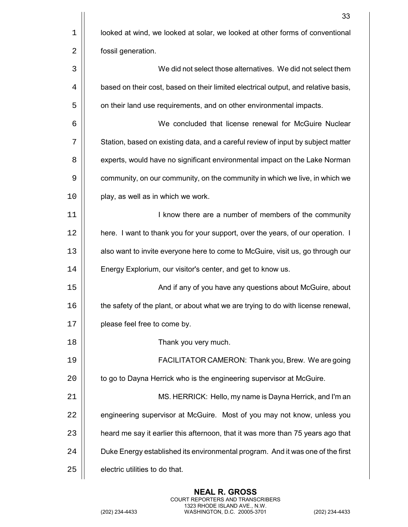|             | 33                                                                                 |
|-------------|------------------------------------------------------------------------------------|
| $\mathbf 1$ | looked at wind, we looked at solar, we looked at other forms of conventional       |
| 2           | fossil generation.                                                                 |
| 3           | We did not select those alternatives. We did not select them                       |
| 4           | based on their cost, based on their limited electrical output, and relative basis, |
| 5           | on their land use requirements, and on other environmental impacts.                |
| 6           | We concluded that license renewal for McGuire Nuclear                              |
| 7           | Station, based on existing data, and a careful review of input by subject matter   |
| 8           | experts, would have no significant environmental impact on the Lake Norman         |
| 9           | community, on our community, on the community in which we live, in which we        |
| 10          | play, as well as in which we work.                                                 |
| 11          | I know there are a number of members of the community                              |
| 12          | here. I want to thank you for your support, over the years, of our operation. I    |
| 13          | also want to invite everyone here to come to McGuire, visit us, go through our     |
| 14          | Energy Explorium, our visitor's center, and get to know us.                        |
| 15          | And if any of you have any questions about McGuire, about                          |
| 16          | the safety of the plant, or about what we are trying to do with license renewal,   |
| 17          | please feel free to come by.                                                       |
| 18          | Thank you very much.                                                               |
| 19          | FACILITATOR CAMERON: Thank you, Brew. We are going                                 |
| 20          | to go to Dayna Herrick who is the engineering supervisor at McGuire.               |
| 21          | MS. HERRICK: Hello, my name is Dayna Herrick, and I'm an                           |
| 22          | engineering supervisor at McGuire. Most of you may not know, unless you            |
| 23          | heard me say it earlier this afternoon, that it was more than 75 years ago that    |
| 24          | Duke Energy established its environmental program. And it was one of the first     |
| 25          | electric utilities to do that.                                                     |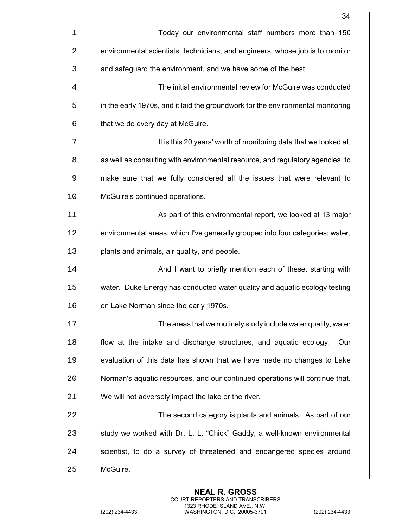|    | 34                                                                              |
|----|---------------------------------------------------------------------------------|
| 1  | Today our environmental staff numbers more than 150                             |
| 2  | environmental scientists, technicians, and engineers, whose job is to monitor   |
| 3  | and safeguard the environment, and we have some of the best.                    |
| 4  | The initial environmental review for McGuire was conducted                      |
| 5  | in the early 1970s, and it laid the groundwork for the environmental monitoring |
| 6  | that we do every day at McGuire.                                                |
| 7  | It is this 20 years' worth of monitoring data that we looked at,                |
| 8  | as well as consulting with environmental resource, and regulatory agencies, to  |
| 9  | make sure that we fully considered all the issues that were relevant to         |
| 10 | McGuire's continued operations.                                                 |
| 11 | As part of this environmental report, we looked at 13 major                     |
| 12 | environmental areas, which I've generally grouped into four categories; water,  |
| 13 | plants and animals, air quality, and people.                                    |
| 14 | And I want to briefly mention each of these, starting with                      |
| 15 | water. Duke Energy has conducted water quality and aquatic ecology testing      |
| 16 | on Lake Norman since the early 1970s.                                           |
| 17 | The areas that we routinely study include water quality, water                  |
| 18 | flow at the intake and discharge structures, and aquatic ecology.<br>Our        |
| 19 | evaluation of this data has shown that we have made no changes to Lake          |
| 20 | Norman's aquatic resources, and our continued operations will continue that.    |
| 21 | We will not adversely impact the lake or the river.                             |
| 22 | The second category is plants and animals. As part of our                       |
| 23 | study we worked with Dr. L. L. "Chick" Gaddy, a well-known environmental        |
| 24 | scientist, to do a survey of threatened and endangered species around           |
| 25 | McGuire.                                                                        |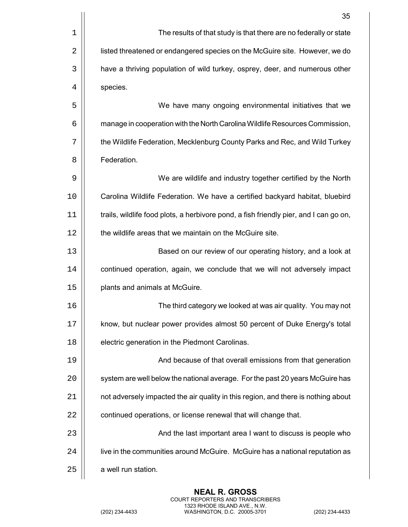|    | 35                                                                                    |
|----|---------------------------------------------------------------------------------------|
| 1  | The results of that study is that there are no federally or state                     |
| 2  | listed threatened or endangered species on the McGuire site. However, we do           |
| 3  | have a thriving population of wild turkey, osprey, deer, and numerous other           |
| 4  | species.                                                                              |
| 5  | We have many ongoing environmental initiatives that we                                |
| 6  | manage in cooperation with the North Carolina Wildlife Resources Commission,          |
| 7  | the Wildlife Federation, Mecklenburg County Parks and Rec, and Wild Turkey            |
| 8  | Federation.                                                                           |
| 9  | We are wildlife and industry together certified by the North                          |
| 10 | Carolina Wildlife Federation. We have a certified backyard habitat, bluebird          |
| 11 | trails, wildlife food plots, a herbivore pond, a fish friendly pier, and I can go on, |
| 12 | the wildlife areas that we maintain on the McGuire site.                              |
| 13 | Based on our review of our operating history, and a look at                           |
| 14 | continued operation, again, we conclude that we will not adversely impact             |
| 15 | plants and animals at McGuire.                                                        |
| 16 | The third category we looked at was air quality. You may not                          |
| 17 | know, but nuclear power provides almost 50 percent of Duke Energy's total             |
| 18 | electric generation in the Piedmont Carolinas.                                        |
| 19 | And because of that overall emissions from that generation                            |
| 20 | system are well below the national average. For the past 20 years McGuire has         |
| 21 | not adversely impacted the air quality in this region, and there is nothing about     |
| 22 | continued operations, or license renewal that will change that.                       |
| 23 | And the last important area I want to discuss is people who                           |
| 24 | live in the communities around McGuire. McGuire has a national reputation as          |
| 25 | a well run station.                                                                   |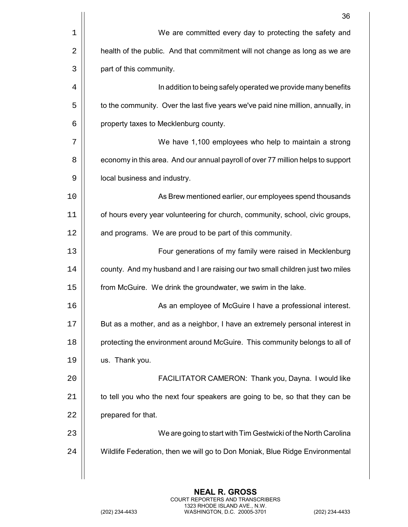|    | 36                                                                               |
|----|----------------------------------------------------------------------------------|
| 1  | We are committed every day to protecting the safety and                          |
| 2  | health of the public. And that commitment will not change as long as we are      |
| 3  | part of this community.                                                          |
| 4  | In addition to being safely operated we provide many benefits                    |
| 5  | to the community. Over the last five years we've paid nine million, annually, in |
| 6  | property taxes to Mecklenburg county.                                            |
| 7  | We have 1,100 employees who help to maintain a strong                            |
| 8  | economy in this area. And our annual payroll of over 77 million helps to support |
| 9  | local business and industry.                                                     |
| 10 | As Brew mentioned earlier, our employees spend thousands                         |
| 11 | of hours every year volunteering for church, community, school, civic groups,    |
| 12 | and programs. We are proud to be part of this community.                         |
| 13 | Four generations of my family were raised in Mecklenburg                         |
| 14 | county. And my husband and I are raising our two small children just two miles   |
| 15 | from McGuire. We drink the groundwater, we swim in the lake.                     |
| 16 | As an employee of McGuire I have a professional interest.                        |
| 17 | But as a mother, and as a neighbor, I have an extremely personal interest in     |
| 18 | protecting the environment around McGuire. This community belongs to all of      |
| 19 | us. Thank you.                                                                   |
| 20 | FACILITATOR CAMERON: Thank you, Dayna. I would like                              |
| 21 | to tell you who the next four speakers are going to be, so that they can be      |
| 22 | prepared for that.                                                               |
| 23 | We are going to start with Tim Gestwicki of the North Carolina                   |
| 24 | Wildlife Federation, then we will go to Don Moniak, Blue Ridge Environmental     |
|    |                                                                                  |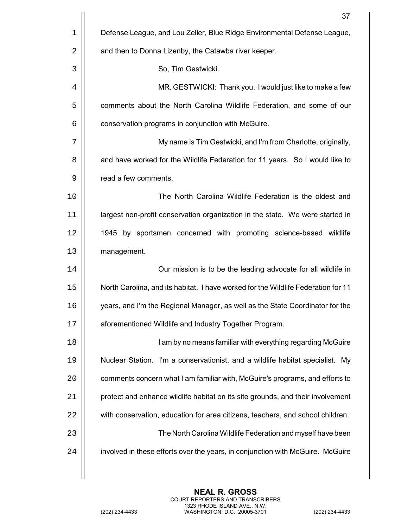|    | 37                                                                                |
|----|-----------------------------------------------------------------------------------|
| 1  | Defense League, and Lou Zeller, Blue Ridge Environmental Defense League,          |
| 2  | and then to Donna Lizenby, the Catawba river keeper.                              |
| 3  | So, Tim Gestwicki.                                                                |
| 4  | MR. GESTWICKI: Thank you. I would just like to make a few                         |
| 5  | comments about the North Carolina Wildlife Federation, and some of our            |
| 6  | conservation programs in conjunction with McGuire.                                |
| 7  | My name is Tim Gestwicki, and I'm from Charlotte, originally,                     |
| 8  | and have worked for the Wildlife Federation for 11 years. So I would like to      |
| 9  | read a few comments.                                                              |
| 10 | The North Carolina Wildlife Federation is the oldest and                          |
| 11 | largest non-profit conservation organization in the state. We were started in     |
| 12 | 1945 by sportsmen concerned with promoting science-based wildlife                 |
| 13 | management.                                                                       |
| 14 | Our mission is to be the leading advocate for all wildlife in                     |
| 15 | North Carolina, and its habitat. I have worked for the Wildlife Federation for 11 |
| 16 | years, and I'm the Regional Manager, as well as the State Coordinator for the     |
| 17 | aforementioned Wildlife and Industry Together Program.                            |
| 18 | I am by no means familiar with everything regarding McGuire                       |
| 19 | Nuclear Station. I'm a conservationist, and a wildlife habitat specialist. My     |
| 20 | comments concern what I am familiar with, McGuire's programs, and efforts to      |
| 21 | protect and enhance wildlife habitat on its site grounds, and their involvement   |
| 22 | with conservation, education for area citizens, teachers, and school children.    |
| 23 | The North Carolina Wildlife Federation and myself have been                       |
| 24 | involved in these efforts over the years, in conjunction with McGuire. McGuire    |
|    |                                                                                   |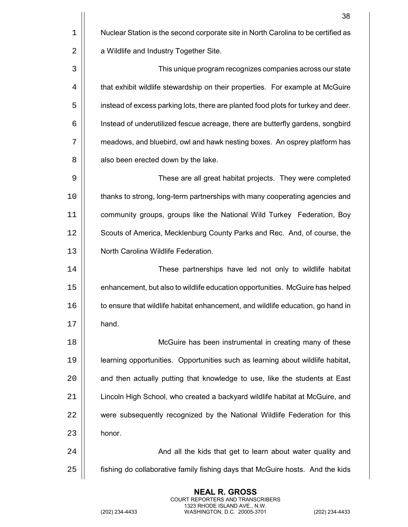38 1 | Nuclear Station is the second corporate site in North Carolina to be certified as 2 | a Wildlife and Industry Together Site. This unique program recognizes companies across our state 4 | that exhibit wildlife stewardship on their properties. For example at McGuire  $\vert$  instead of excess parking lots, there are planted food plots for turkey and deer. Instead of underutilized fescue acreage, there are butterfly gardens, songbird  $\vert$  meadows, and bluebird, owl and hawk nesting boxes. An osprey platform has  $8 \parallel$  also been erected down by the lake. These are all great habitat projects. They were completed 10 | thanks to strong, long-term partnerships with many cooperating agencies and community groups, groups like the National Wild Turkey Federation, Boy 12 | Scouts of America, Mecklenburg County Parks and Rec. And, of course, the North Carolina Wildlife Federation. These partnerships have led not only to wildlife habitat enhancement, but also to wildlife education opportunities. McGuire has helped  $\vert\vert$  to ensure that wildlife habitat enhancement, and wildlife education, go hand in 17 || hand. McGuire has been instrumental in creating many of these learning opportunities. Opportunities such as learning about wildlife habitat,  $\parallel$  and then actually putting that knowledge to use, like the students at East Lincoln High School, who created a backyard wildlife habitat at McGuire, and 22 | were subsequently recognized by the National Wildlife Federation for this  $\parallel$  honor. 24 | Casa and all the kids that get to learn about water quality and all the kids that get to learn about water fishing do collaborative family fishing days that McGuire hosts. And the kids

> **NEAL R. GROSS** COURT REPORTERS AND TRANSCRIBERS 1323 RHODE ISLAND AVE., N.W.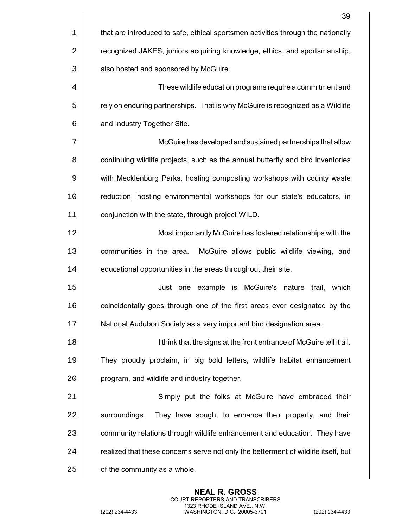|             | 39                                                                                 |
|-------------|------------------------------------------------------------------------------------|
| $\mathbf 1$ | that are introduced to safe, ethical sportsmen activities through the nationally   |
| 2           | recognized JAKES, juniors acquiring knowledge, ethics, and sportsmanship,          |
| 3           | also hosted and sponsored by McGuire.                                              |
| 4           | These wildlife education programs require a commitment and                         |
| 5           | rely on enduring partnerships. That is why McGuire is recognized as a Wildlife     |
| 6           | and Industry Together Site.                                                        |
| 7           | McGuire has developed and sustained partnerships that allow                        |
| 8           | continuing wildlife projects, such as the annual butterfly and bird inventories    |
| 9           | with Mecklenburg Parks, hosting composting workshops with county waste             |
| 10          | reduction, hosting environmental workshops for our state's educators, in           |
| 11          | conjunction with the state, through project WILD.                                  |
| 12          | Most importantly McGuire has fostered relationships with the                       |
| 13          | communities in the area.<br>McGuire allows public wildlife viewing, and            |
| 14          | educational opportunities in the areas throughout their site.                      |
| 15          | Just one example is McGuire's nature trail,<br>which                               |
| 16          | coincidentally goes through one of the first areas ever designated by the          |
| 17          | National Audubon Society as a very important bird designation area.                |
| 18          | I think that the signs at the front entrance of McGuire tell it all.               |
| 19          | They proudly proclaim, in big bold letters, wildlife habitat enhancement           |
| 20          | program, and wildlife and industry together.                                       |
| 21          | Simply put the folks at McGuire have embraced their                                |
| 22          | They have sought to enhance their property, and their<br>surroundings.             |
| 23          | community relations through wildlife enhancement and education. They have          |
| 24          | realized that these concerns serve not only the betterment of wildlife itself, but |
| 25          | of the community as a whole.                                                       |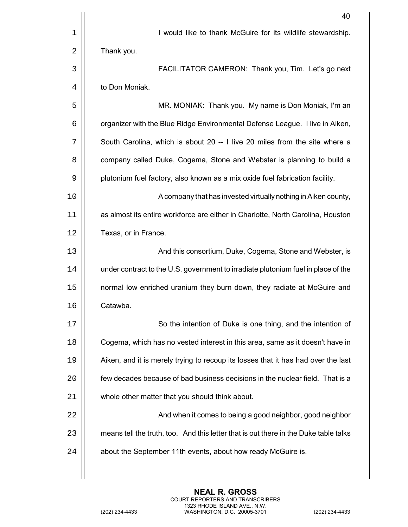|    | 40                                                                                   |
|----|--------------------------------------------------------------------------------------|
| 1  | I would like to thank McGuire for its wildlife stewardship.                          |
| 2  | Thank you.                                                                           |
| 3  | FACILITATOR CAMERON: Thank you, Tim. Let's go next                                   |
| 4  | to Don Moniak.                                                                       |
| 5  | MR. MONIAK: Thank you. My name is Don Moniak, I'm an                                 |
| 6  | organizer with the Blue Ridge Environmental Defense League. I live in Aiken,         |
| 7  | South Carolina, which is about 20 -- I live 20 miles from the site where a           |
| 8  | company called Duke, Cogema, Stone and Webster is planning to build a                |
| 9  | plutonium fuel factory, also known as a mix oxide fuel fabrication facility.         |
| 10 | A company that has invested virtually nothing in Aiken county,                       |
| 11 | as almost its entire workforce are either in Charlotte, North Carolina, Houston      |
| 12 | Texas, or in France.                                                                 |
| 13 | And this consortium, Duke, Cogema, Stone and Webster, is                             |
| 14 | under contract to the U.S. government to irradiate plutonium fuel in place of the    |
| 15 | normal low enriched uranium they burn down, they radiate at McGuire and              |
| 16 | Catawba                                                                              |
| 17 | So the intention of Duke is one thing, and the intention of                          |
| 18 | Cogema, which has no vested interest in this area, same as it doesn't have in        |
| 19 | Aiken, and it is merely trying to recoup its losses that it has had over the last    |
| 20 | few decades because of bad business decisions in the nuclear field. That is a        |
| 21 | whole other matter that you should think about.                                      |
| 22 | And when it comes to being a good neighbor, good neighbor                            |
| 23 | means tell the truth, too. And this letter that is out there in the Duke table talks |
| 24 | about the September 11th events, about how ready McGuire is.                         |
|    |                                                                                      |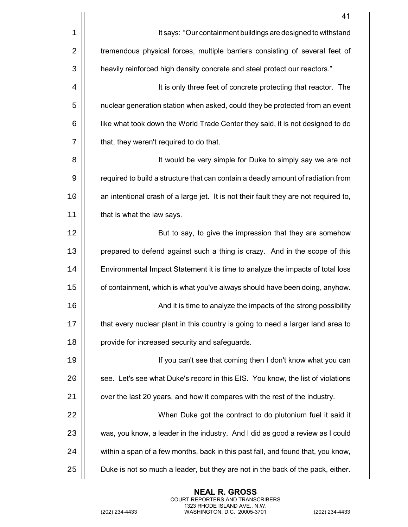|            | 41                                                                                   |
|------------|--------------------------------------------------------------------------------------|
| $1\,$      | It says: "Our containment buildings are designed to withstand                        |
| $\sqrt{2}$ | tremendous physical forces, multiple barriers consisting of several feet of          |
| 3          | heavily reinforced high density concrete and steel protect our reactors."            |
| 4          | It is only three feet of concrete protecting that reactor. The                       |
| 5          | nuclear generation station when asked, could they be protected from an event         |
| 6          | like what took down the World Trade Center they said, it is not designed to do       |
| 7          | that, they weren't required to do that.                                              |
| 8          | It would be very simple for Duke to simply say we are not                            |
| 9          | required to build a structure that can contain a deadly amount of radiation from     |
| 10         | an intentional crash of a large jet. It is not their fault they are not required to, |
| 11         | that is what the law says.                                                           |
| 12         | But to say, to give the impression that they are somehow                             |
| 13         | prepared to defend against such a thing is crazy. And in the scope of this           |
| 14         | Environmental Impact Statement it is time to analyze the impacts of total loss       |
| 15         | of containment, which is what you've always should have been doing, anyhow.          |
| 16         | And it is time to analyze the impacts of the strong possibility                      |
| 17         | that every nuclear plant in this country is going to need a larger land area to      |
| 18         | provide for increased security and safeguards.                                       |
| 19         | If you can't see that coming then I don't know what you can                          |
| 20         | see. Let's see what Duke's record in this EIS. You know, the list of violations      |
| 21         | over the last 20 years, and how it compares with the rest of the industry.           |
| 22         | When Duke got the contract to do plutonium fuel it said it                           |
| 23         | was, you know, a leader in the industry. And I did as good a review as I could       |
| 24         | within a span of a few months, back in this past fall, and found that, you know,     |
| 25         | Duke is not so much a leader, but they are not in the back of the pack, either.      |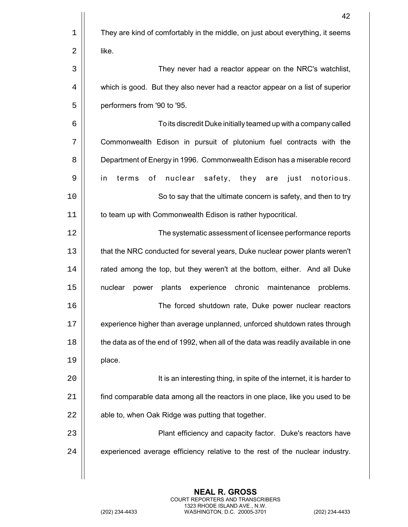|    | 42                                                                                |
|----|-----------------------------------------------------------------------------------|
| 1  | They are kind of comfortably in the middle, on just about everything, it seems    |
| 2  | like.                                                                             |
| 3  | They never had a reactor appear on the NRC's watchlist,                           |
| 4  | which is good. But they also never had a reactor appear on a list of superior     |
| 5  | performers from '90 to '95.                                                       |
| 6  | To its discredit Duke initially teamed up with a company called                   |
| 7  | Commonwealth Edison in pursuit of plutonium fuel contracts with the               |
| 8  | Department of Energy in 1996. Commonwealth Edison has a miserable record          |
| 9  | terms<br>of<br>nuclear<br>safety,<br>they<br>in<br>are<br>just<br>notorious.      |
| 10 | So to say that the ultimate concern is safety, and then to try                    |
| 11 | to team up with Commonwealth Edison is rather hypocritical.                       |
| 12 | The systematic assessment of licensee performance reports                         |
| 13 | that the NRC conducted for several years, Duke nuclear power plants weren't       |
| 14 | rated among the top, but they weren't at the bottom, either. And all Duke         |
| 15 | plants<br>experience<br>chronic maintenance<br>nuclear<br>problems.<br>power      |
| 16 | The forced shutdown rate, Duke power nuclear reactors                             |
| 17 | experience higher than average unplanned, unforced shutdown rates through         |
| 18 | the data as of the end of 1992, when all of the data was readily available in one |
| 19 | place.                                                                            |
| 20 | It is an interesting thing, in spite of the internet, it is harder to             |
| 21 | find comparable data among all the reactors in one place, like you used to be     |
| 22 | able to, when Oak Ridge was putting that together.                                |
| 23 | Plant efficiency and capacity factor. Duke's reactors have                        |
| 24 | experienced average efficiency relative to the rest of the nuclear industry.      |
|    |                                                                                   |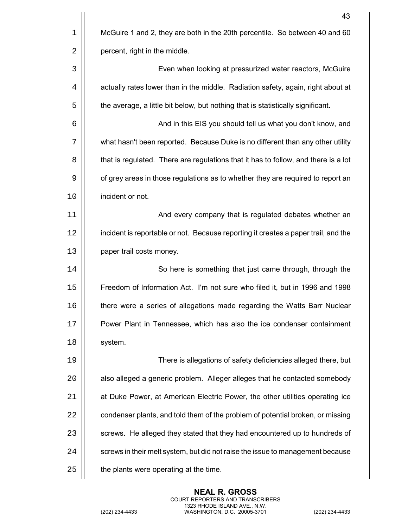|    | 43                                                                                 |
|----|------------------------------------------------------------------------------------|
| 1  | McGuire 1 and 2, they are both in the 20th percentile. So between 40 and 60        |
| 2  | percent, right in the middle.                                                      |
| 3  | Even when looking at pressurized water reactors, McGuire                           |
| 4  | actually rates lower than in the middle. Radiation safety, again, right about at   |
| 5  | the average, a little bit below, but nothing that is statistically significant.    |
| 6  | And in this EIS you should tell us what you don't know, and                        |
| 7  | what hasn't been reported. Because Duke is no different than any other utility     |
| 8  | that is regulated. There are regulations that it has to follow, and there is a lot |
| 9  | of grey areas in those regulations as to whether they are required to report an    |
| 10 | incident or not.                                                                   |
| 11 | And every company that is regulated debates whether an                             |
| 12 | incident is reportable or not. Because reporting it creates a paper trail, and the |
| 13 | paper trail costs money.                                                           |
| 14 | So here is something that just came through, through the                           |
| 15 | Freedom of Information Act. I'm not sure who filed it, but in 1996 and 1998        |
| 16 | there were a series of allegations made regarding the Watts Barr Nuclear           |
| 17 | Power Plant in Tennessee, which has also the ice condenser containment             |
| 18 | system.                                                                            |
| 19 | There is allegations of safety deficiencies alleged there, but                     |
| 20 | also alleged a generic problem. Alleger alleges that he contacted somebody         |
| 21 | at Duke Power, at American Electric Power, the other utilities operating ice       |
| 22 | condenser plants, and told them of the problem of potential broken, or missing     |
| 23 | screws. He alleged they stated that they had encountered up to hundreds of         |
| 24 | screws in their melt system, but did not raise the issue to management because     |
| 25 | the plants were operating at the time.                                             |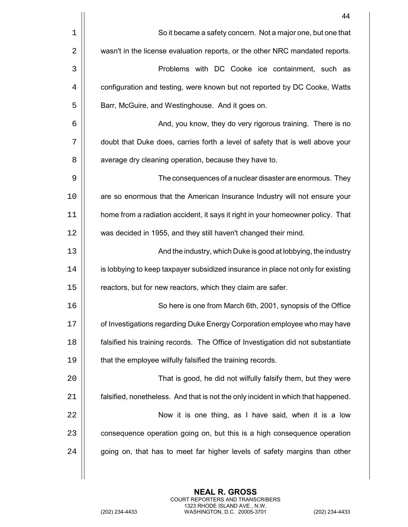|    | 44                                                                                |
|----|-----------------------------------------------------------------------------------|
| 1  | So it became a safety concern. Not a major one, but one that                      |
| 2  | wasn't in the license evaluation reports, or the other NRC mandated reports.      |
| 3  | Problems with DC Cooke ice containment, such as                                   |
| 4  | configuration and testing, were known but not reported by DC Cooke, Watts         |
| 5  | Barr, McGuire, and Westinghouse. And it goes on.                                  |
| 6  | And, you know, they do very rigorous training. There is no                        |
| 7  | doubt that Duke does, carries forth a level of safety that is well above your     |
| 8  | average dry cleaning operation, because they have to.                             |
| 9  | The consequences of a nuclear disaster are enormous. They                         |
| 10 | are so enormous that the American Insurance Industry will not ensure your         |
| 11 | home from a radiation accident, it says it right in your homeowner policy. That   |
| 12 | was decided in 1955, and they still haven't changed their mind.                   |
| 13 | And the industry, which Duke is good at lobbying, the industry                    |
| 14 | is lobbying to keep taxpayer subsidized insurance in place not only for existing  |
| 15 | reactors, but for new reactors, which they claim are safer.                       |
| 16 | So here is one from March 6th, 2001, synopsis of the Office                       |
| 17 | of Investigations regarding Duke Energy Corporation employee who may have         |
| 18 | falsified his training records. The Office of Investigation did not substantiate  |
| 19 | that the employee wilfully falsified the training records.                        |
| 20 | That is good, he did not wilfully falsify them, but they were                     |
| 21 | falsified, nonetheless. And that is not the only incident in which that happened. |
| 22 | Now it is one thing, as I have said, when it is a low                             |
| 23 | consequence operation going on, but this is a high consequence operation          |
| 24 | going on, that has to meet far higher levels of safety margins than other         |
|    |                                                                                   |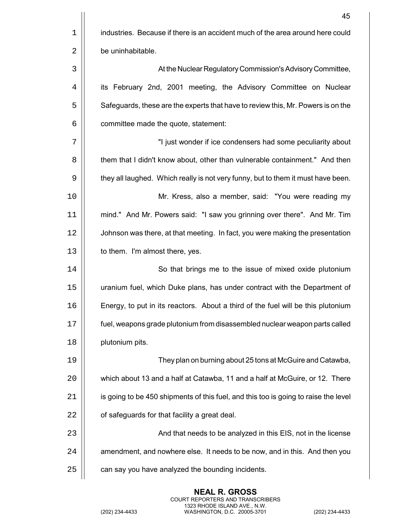|    | 45                                                                                  |
|----|-------------------------------------------------------------------------------------|
| 1  | industries. Because if there is an accident much of the area around here could      |
| 2  | be uninhabitable.                                                                   |
| 3  | At the Nuclear Regulatory Commission's Advisory Committee,                          |
| 4  | its February 2nd, 2001 meeting, the Advisory Committee on Nuclear                   |
| 5  | Safeguards, these are the experts that have to review this, Mr. Powers is on the    |
| 6  | committee made the quote, statement:                                                |
| 7  | "I just wonder if ice condensers had some peculiarity about                         |
| 8  | them that I didn't know about, other than vulnerable containment." And then         |
| 9  | they all laughed. Which really is not very funny, but to them it must have been.    |
| 10 | Mr. Kress, also a member, said: "You were reading my                                |
| 11 | mind." And Mr. Powers said: "I saw you grinning over there". And Mr. Tim            |
| 12 | Johnson was there, at that meeting. In fact, you were making the presentation       |
| 13 | to them. I'm almost there, yes.                                                     |
| 14 | So that brings me to the issue of mixed oxide plutonium                             |
| 15 | uranium fuel, which Duke plans, has under contract with the Department of           |
| 16 | Energy, to put in its reactors. About a third of the fuel will be this plutonium    |
| 17 | fuel, weapons grade plutonium from disassembled nuclear weapon parts called         |
| 18 | plutonium pits.                                                                     |
| 19 | They plan on burning about 25 tons at McGuire and Catawba,                          |
| 20 | which about 13 and a half at Catawba, 11 and a half at McGuire, or 12. There        |
| 21 | is going to be 450 shipments of this fuel, and this too is going to raise the level |
| 22 | of safeguards for that facility a great deal.                                       |
| 23 | And that needs to be analyzed in this EIS, not in the license                       |
| 24 | amendment, and nowhere else. It needs to be now, and in this. And then you          |
| 25 | can say you have analyzed the bounding incidents.                                   |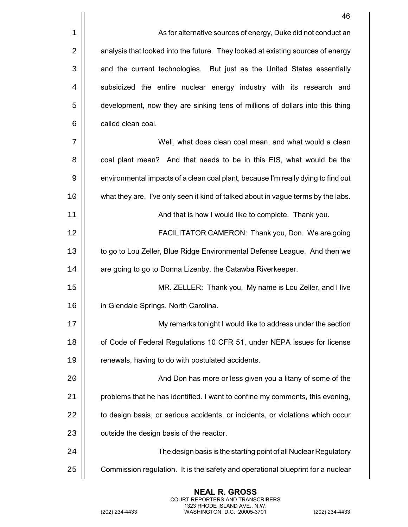| 1  | As for alternative sources of energy, Duke did not conduct an                     |
|----|-----------------------------------------------------------------------------------|
| 2  | analysis that looked into the future. They looked at existing sources of energy   |
| 3  | and the current technologies. But just as the United States essentially           |
| 4  | subsidized the entire nuclear energy industry with its research and               |
| 5  | development, now they are sinking tens of millions of dollars into this thing     |
| 6  | called clean coal.                                                                |
| 7  | Well, what does clean coal mean, and what would a clean                           |
| 8  | coal plant mean? And that needs to be in this EIS, what would be the              |
| 9  | environmental impacts of a clean coal plant, because I'm really dying to find out |
| 10 | what they are. I've only seen it kind of talked about in vague terms by the labs. |
| 11 | And that is how I would like to complete. Thank you.                              |
| 12 | FACILITATOR CAMERON: Thank you, Don. We are going                                 |
| 13 | to go to Lou Zeller, Blue Ridge Environmental Defense League. And then we         |
| 14 | are going to go to Donna Lizenby, the Catawba Riverkeeper.                        |
| 15 | MR. ZELLER: Thank you. My name is Lou Zeller, and I live                          |
| 16 | in Glendale Springs, North Carolina.                                              |
| 17 | My remarks tonight I would like to address under the section                      |
| 18 | of Code of Federal Regulations 10 CFR 51, under NEPA issues for license           |
| 19 | renewals, having to do with postulated accidents.                                 |
| 20 | And Don has more or less given you a litany of some of the                        |
| 21 | problems that he has identified. I want to confine my comments, this evening,     |
| 22 | to design basis, or serious accidents, or incidents, or violations which occur    |
| 23 | outside the design basis of the reactor.                                          |
| 24 | The design basis is the starting point of all Nuclear Regulatory                  |
| 25 | Commission regulation. It is the safety and operational blueprint for a nuclear   |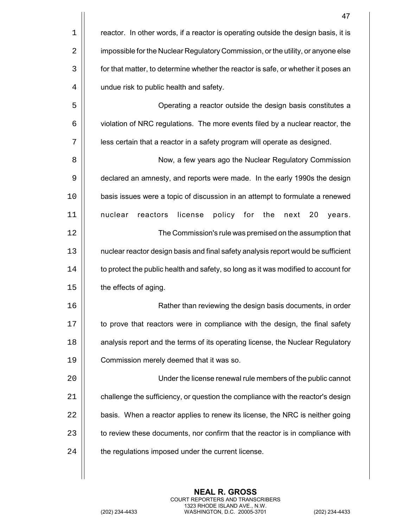|             | 47                                                                                 |
|-------------|------------------------------------------------------------------------------------|
| $\mathbf 1$ | reactor. In other words, if a reactor is operating outside the design basis, it is |
| 2           | impossible for the Nuclear Regulatory Commission, or the utility, or anyone else   |
| 3           | for that matter, to determine whether the reactor is safe, or whether it poses an  |
| 4           | undue risk to public health and safety.                                            |
| 5           | Operating a reactor outside the design basis constitutes a                         |
| 6           | violation of NRC regulations. The more events filed by a nuclear reactor, the      |
| 7           | less certain that a reactor in a safety program will operate as designed.          |
| 8           | Now, a few years ago the Nuclear Regulatory Commission                             |
| 9           | declared an amnesty, and reports were made. In the early 1990s the design          |
| 10          | basis issues were a topic of discussion in an attempt to formulate a renewed       |
| 11          | nuclear<br>license<br>policy<br>the<br>reactors<br>for<br>next<br>20<br>years.     |
| 12          | The Commission's rule was premised on the assumption that                          |
| 13          | nuclear reactor design basis and final safety analysis report would be sufficient  |
| 14          | to protect the public health and safety, so long as it was modified to account for |
| 15          | the effects of aging.                                                              |
| 16          | Rather than reviewing the design basis documents, in order                         |
| 17          | to prove that reactors were in compliance with the design, the final safety        |
| 18          | analysis report and the terms of its operating license, the Nuclear Regulatory     |
| 19          | Commission merely deemed that it was so.                                           |
| 20          | Under the license renewal rule members of the public cannot                        |
| 21          | challenge the sufficiency, or question the compliance with the reactor's design    |
| 22          | basis. When a reactor applies to renew its license, the NRC is neither going       |
| 23          | to review these documents, nor confirm that the reactor is in compliance with      |
| 24          | the regulations imposed under the current license.                                 |
|             |                                                                                    |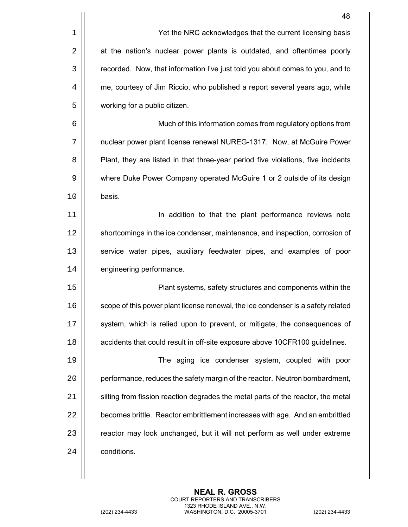|    | 48                                                                               |
|----|----------------------------------------------------------------------------------|
| 1  | Yet the NRC acknowledges that the current licensing basis                        |
| 2  | at the nation's nuclear power plants is outdated, and oftentimes poorly          |
| 3  | recorded. Now, that information I've just told you about comes to you, and to    |
| 4  | me, courtesy of Jim Riccio, who published a report several years ago, while      |
| 5  | working for a public citizen.                                                    |
| 6  | Much of this information comes from regulatory options from                      |
| 7  | nuclear power plant license renewal NUREG-1317. Now, at McGuire Power            |
| 8  | Plant, they are listed in that three-year period five violations, five incidents |
| 9  | where Duke Power Company operated McGuire 1 or 2 outside of its design           |
| 10 | basis.                                                                           |
| 11 | In addition to that the plant performance reviews note                           |
| 12 | shortcomings in the ice condenser, maintenance, and inspection, corrosion of     |
| 13 | service water pipes, auxiliary feedwater pipes, and examples of poor             |
| 14 | engineering performance.                                                         |
| 15 | Plant systems, safety structures and components within the                       |
| 16 | scope of this power plant license renewal, the ice condenser is a safety related |
| 17 | system, which is relied upon to prevent, or mitigate, the consequences of        |
| 18 | accidents that could result in off-site exposure above 10CFR100 guidelines.      |
| 19 | The aging ice condenser system, coupled with poor                                |
| 20 | performance, reduces the safety margin of the reactor. Neutron bombardment,      |
| 21 | silting from fission reaction degrades the metal parts of the reactor, the metal |
| 22 | becomes brittle. Reactor embrittlement increases with age. And an embrittled     |
| 23 | reactor may look unchanged, but it will not perform as well under extreme        |
| 24 | conditions.                                                                      |
|    |                                                                                  |

 $\mathsf{l}$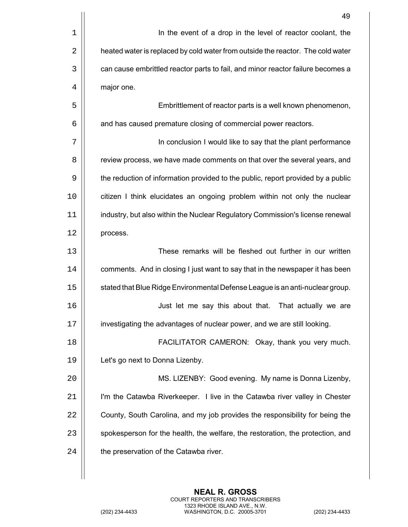|    | 49                                                                               |
|----|----------------------------------------------------------------------------------|
| 1  | In the event of a drop in the level of reactor coolant, the                      |
| 2  | heated water is replaced by cold water from outside the reactor. The cold water  |
| 3  | can cause embrittled reactor parts to fail, and minor reactor failure becomes a  |
| 4  | major one.                                                                       |
| 5  | Embrittlement of reactor parts is a well known phenomenon,                       |
| 6  | and has caused premature closing of commercial power reactors.                   |
| 7  | In conclusion I would like to say that the plant performance                     |
| 8  | review process, we have made comments on that over the several years, and        |
| 9  | the reduction of information provided to the public, report provided by a public |
| 10 | citizen I think elucidates an ongoing problem within not only the nuclear        |
| 11 | industry, but also within the Nuclear Regulatory Commission's license renewal    |
| 12 | process.                                                                         |
| 13 | These remarks will be fleshed out further in our written                         |
| 14 | comments. And in closing I just want to say that in the newspaper it has been    |
| 15 | stated that Blue Ridge Environmental Defense League is an anti-nuclear group.    |
| 16 | Just let me say this about that. That actually we are                            |
| 17 | investigating the advantages of nuclear power, and we are still looking.         |
| 18 | FACILITATOR CAMERON: Okay, thank you very much.                                  |
| 19 | Let's go next to Donna Lizenby.                                                  |
| 20 | MS. LIZENBY: Good evening. My name is Donna Lizenby,                             |
| 21 | I'm the Catawba Riverkeeper. I live in the Catawba river valley in Chester       |
| 22 | County, South Carolina, and my job provides the responsibility for being the     |
| 23 | spokesperson for the health, the welfare, the restoration, the protection, and   |
| 24 | the preservation of the Catawba river.                                           |
|    |                                                                                  |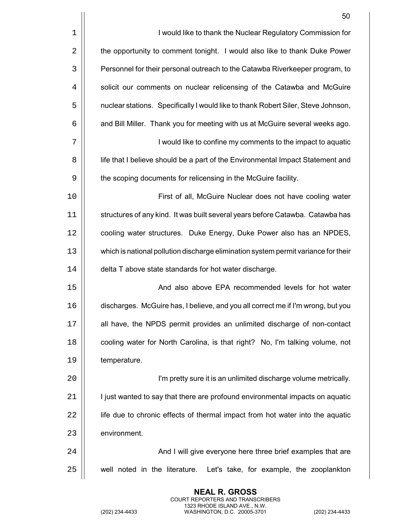|    | 50                                                                                 |
|----|------------------------------------------------------------------------------------|
| 1  | I would like to thank the Nuclear Regulatory Commission for                        |
| 2  | the opportunity to comment tonight. I would also like to thank Duke Power          |
| 3  | Personnel for their personal outreach to the Catawba Riverkeeper program, to       |
| 4  | solicit our comments on nuclear relicensing of the Catawba and McGuire             |
| 5  | nuclear stations. Specifically I would like to thank Robert Siler, Steve Johnson,  |
| 6  | and Bill Miller. Thank you for meeting with us at McGuire several weeks ago.       |
| 7  | I would like to confine my comments to the impact to aquatic                       |
| 8  | life that I believe should be a part of the Environmental Impact Statement and     |
| 9  | the scoping documents for relicensing in the McGuire facility.                     |
| 10 | First of all, McGuire Nuclear does not have cooling water                          |
| 11 | structures of any kind. It was built several years before Catawba. Catawba has     |
| 12 | cooling water structures. Duke Energy, Duke Power also has an NPDES,               |
| 13 | which is national pollution discharge elimination system permit variance for their |
| 14 | delta T above state standards for hot water discharge.                             |
| 15 | And also above EPA recommended levels for hot water                                |
| 16 | discharges. McGuire has, I believe, and you all correct me if I'm wrong, but you   |
| 17 | all have, the NPDS permit provides an unlimited discharge of non-contact           |
| 18 | cooling water for North Carolina, is that right? No, I'm talking volume, not       |
| 19 | temperature.                                                                       |
| 20 | I'm pretty sure it is an unlimited discharge volume metrically.                    |
| 21 | I just wanted to say that there are profound environmental impacts on aquatic      |
| 22 | life due to chronic effects of thermal impact from hot water into the aquatic      |
| 23 | environment.                                                                       |
| 24 | And I will give everyone here three brief examples that are                        |
| 25 | well noted in the literature. Let's take, for example, the zooplankton             |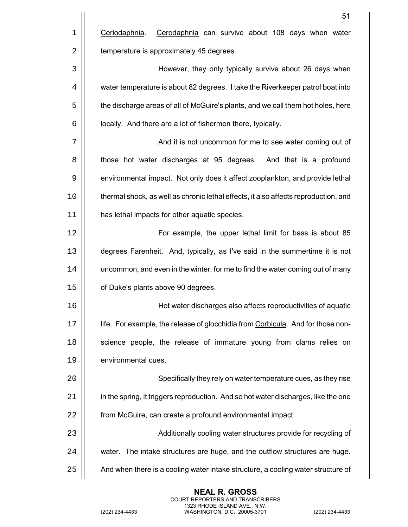|    | 51                                                                                  |
|----|-------------------------------------------------------------------------------------|
| 1  | Cerodaphnia can survive about 108 days when water<br>Ceriodaphnia.                  |
| 2  | temperature is approximately 45 degrees.                                            |
| 3  | However, they only typically survive about 26 days when                             |
| 4  | water temperature is about 82 degrees. I take the Riverkeeper patrol boat into      |
| 5  | the discharge areas of all of McGuire's plants, and we call them hot holes, here    |
| 6  | locally. And there are a lot of fishermen there, typically.                         |
| 7  | And it is not uncommon for me to see water coming out of                            |
| 8  | those hot water discharges at 95 degrees. And that is a profound                    |
| 9  | environmental impact. Not only does it affect zooplankton, and provide lethal       |
| 10 | thermal shock, as well as chronic lethal effects, it also affects reproduction, and |
| 11 | has lethal impacts for other aquatic species.                                       |
| 12 | For example, the upper lethal limit for bass is about 85                            |
| 13 | degrees Farenheit. And, typically, as I've said in the summertime it is not         |
| 14 | uncommon, and even in the winter, for me to find the water coming out of many       |
| 15 | of Duke's plants above 90 degrees.                                                  |
| 16 | Hot water discharges also affects reproductivities of aquatic                       |
| 17 | life. For example, the release of glocchidia from Corbicula. And for those non-     |
| 18 | science people, the release of immature young from clams relies on                  |
| 19 | environmental cues.                                                                 |
| 20 | Specifically they rely on water temperature cues, as they rise                      |
| 21 | in the spring, it triggers reproduction. And so hot water discharges, like the one  |
| 22 | from McGuire, can create a profound environmental impact.                           |
| 23 | Additionally cooling water structures provide for recycling of                      |
| 24 | water. The intake structures are huge, and the outflow structures are huge.         |
| 25 | And when there is a cooling water intake structure, a cooling water structure of    |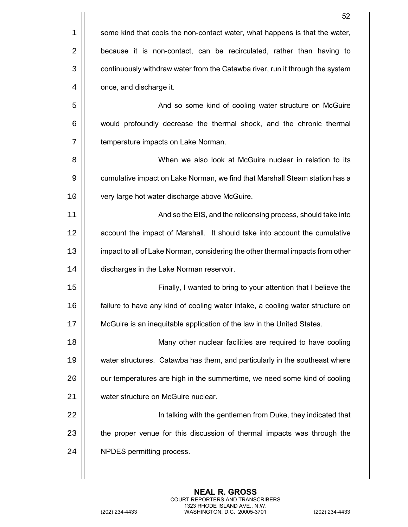|    | 52                                                                             |
|----|--------------------------------------------------------------------------------|
| 1  | some kind that cools the non-contact water, what happens is that the water,    |
| 2  | because it is non-contact, can be recirculated, rather than having to          |
| 3  | continuously withdraw water from the Catawba river, run it through the system  |
| 4  | once, and discharge it.                                                        |
| 5  | And so some kind of cooling water structure on McGuire                         |
| 6  | would profoundly decrease the thermal shock, and the chronic thermal           |
| 7  | temperature impacts on Lake Norman.                                            |
| 8  | When we also look at McGuire nuclear in relation to its                        |
| 9  | cumulative impact on Lake Norman, we find that Marshall Steam station has a    |
| 10 | very large hot water discharge above McGuire.                                  |
| 11 | And so the EIS, and the relicensing process, should take into                  |
| 12 | account the impact of Marshall. It should take into account the cumulative     |
| 13 | impact to all of Lake Norman, considering the other thermal impacts from other |
| 14 | discharges in the Lake Norman reservoir.                                       |
| 15 | Finally, I wanted to bring to your attention that I believe the                |
| 16 | failure to have any kind of cooling water intake, a cooling water structure on |
| 17 | McGuire is an inequitable application of the law in the United States.         |
| 18 | Many other nuclear facilities are required to have cooling                     |
| 19 | water structures. Catawba has them, and particularly in the southeast where    |
| 20 | our temperatures are high in the summertime, we need some kind of cooling      |
| 21 | water structure on McGuire nuclear.                                            |
| 22 | In talking with the gentlemen from Duke, they indicated that                   |
| 23 | the proper venue for this discussion of thermal impacts was through the        |
| 24 | NPDES permitting process.                                                      |
|    |                                                                                |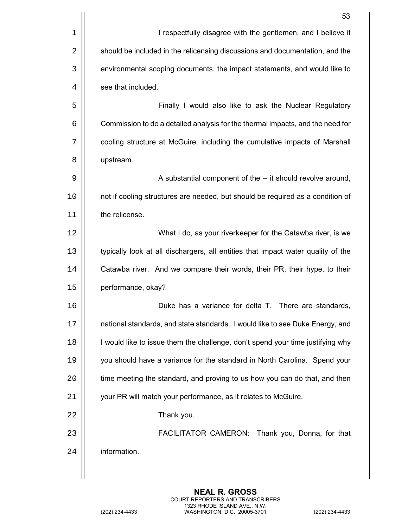|    | 53                                                                               |
|----|----------------------------------------------------------------------------------|
| 1  | I respectfully disagree with the gentlemen, and I believe it                     |
| 2  | should be included in the relicensing discussions and documentation, and the     |
| 3  | environmental scoping documents, the impact statements, and would like to        |
| 4  | see that included.                                                               |
| 5  | Finally I would also like to ask the Nuclear Regulatory                          |
| 6  | Commission to do a detailed analysis for the thermal impacts, and the need for   |
| 7  | cooling structure at McGuire, including the cumulative impacts of Marshall       |
| 8  | upstream.                                                                        |
| 9  | A substantial component of the -- it should revolve around,                      |
| 10 | not if cooling structures are needed, but should be required as a condition of   |
| 11 | the relicense.                                                                   |
| 12 | What I do, as your riverkeeper for the Catawba river, is we                      |
| 13 | typically look at all dischargers, all entities that impact water quality of the |
| 14 | Catawba river. And we compare their words, their PR, their hype, to their        |
| 15 | performance, okay?                                                               |
| 16 | Duke has a variance for delta T. There are standards.                            |
| 17 | national standards, and state standards. I would like to see Duke Energy, and    |
| 18 | I would like to issue them the challenge, don't spend your time justifying why   |
| 19 | you should have a variance for the standard in North Carolina. Spend your        |
| 20 | time meeting the standard, and proving to us how you can do that, and then       |
| 21 | your PR will match your performance, as it relates to McGuire.                   |
| 22 | Thank you.                                                                       |
| 23 | FACILITATOR CAMERON: Thank you, Donna, for that                                  |
| 24 | information.                                                                     |
|    |                                                                                  |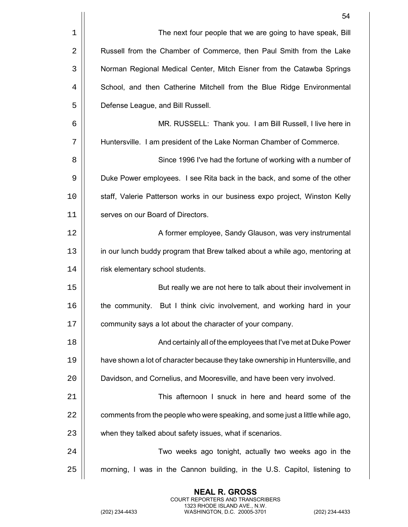|    | 54                                                                             |
|----|--------------------------------------------------------------------------------|
| 1  | The next four people that we are going to have speak, Bill                     |
| 2  | Russell from the Chamber of Commerce, then Paul Smith from the Lake            |
| 3  | Norman Regional Medical Center, Mitch Eisner from the Catawba Springs          |
| 4  | School, and then Catherine Mitchell from the Blue Ridge Environmental          |
| 5  | Defense League, and Bill Russell.                                              |
| 6  | MR. RUSSELL: Thank you. I am Bill Russell, I live here in                      |
| 7  | Huntersville. I am president of the Lake Norman Chamber of Commerce.           |
| 8  | Since 1996 I've had the fortune of working with a number of                    |
| 9  | Duke Power employees. I see Rita back in the back, and some of the other       |
| 10 | staff, Valerie Patterson works in our business expo project, Winston Kelly     |
| 11 | serves on our Board of Directors.                                              |
| 12 | A former employee, Sandy Glauson, was very instrumental                        |
| 13 | in our lunch buddy program that Brew talked about a while ago, mentoring at    |
| 14 | risk elementary school students.                                               |
| 15 | But really we are not here to talk about their involvement in                  |
| 16 | the community. But I think civic involvement, and working hard in your         |
| 17 | community says a lot about the character of your company.                      |
| 18 | And certainly all of the employees that I've met at Duke Power                 |
| 19 | have shown a lot of character because they take ownership in Huntersville, and |
| 20 | Davidson, and Cornelius, and Mooresville, and have been very involved.         |
| 21 | This afternoon I snuck in here and heard some of the                           |
| 22 | comments from the people who were speaking, and some just a little while ago,  |
| 23 | when they talked about safety issues, what if scenarios.                       |
| 24 | Two weeks ago tonight, actually two weeks ago in the                           |
| 25 | morning, I was in the Cannon building, in the U.S. Capitol, listening to       |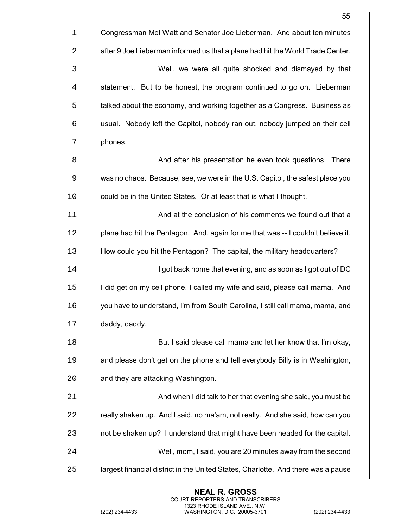|    | 55                                                                                |
|----|-----------------------------------------------------------------------------------|
| 1  | Congressman Mel Watt and Senator Joe Lieberman. And about ten minutes             |
| 2  | after 9 Joe Lieberman informed us that a plane had hit the World Trade Center.    |
| 3  | Well, we were all quite shocked and dismayed by that                              |
| 4  | statement. But to be honest, the program continued to go on. Lieberman            |
| 5  | talked about the economy, and working together as a Congress. Business as         |
| 6  | usual. Nobody left the Capitol, nobody ran out, nobody jumped on their cell       |
| 7  | phones.                                                                           |
| 8  | And after his presentation he even took questions. There                          |
| 9  | was no chaos. Because, see, we were in the U.S. Capitol, the safest place you     |
| 10 | could be in the United States. Or at least that is what I thought.                |
| 11 | And at the conclusion of his comments we found out that a                         |
| 12 | plane had hit the Pentagon. And, again for me that was -- I couldn't believe it.  |
| 13 | How could you hit the Pentagon? The capital, the military headquarters?           |
| 14 | I got back home that evening, and as soon as I got out of DC                      |
| 15 | I did get on my cell phone, I called my wife and said, please call mama. And      |
| 16 | you have to understand, I'm from South Carolina, I still call mama, mama, and     |
| 17 | daddy, daddy.                                                                     |
| 18 | But I said please call mama and let her know that I'm okay,                       |
| 19 | and please don't get on the phone and tell everybody Billy is in Washington,      |
| 20 | and they are attacking Washington.                                                |
| 21 | And when I did talk to her that evening she said, you must be                     |
| 22 | really shaken up. And I said, no ma'am, not really. And she said, how can you     |
| 23 | not be shaken up? I understand that might have been headed for the capital.       |
| 24 | Well, mom, I said, you are 20 minutes away from the second                        |
| 25 | largest financial district in the United States, Charlotte. And there was a pause |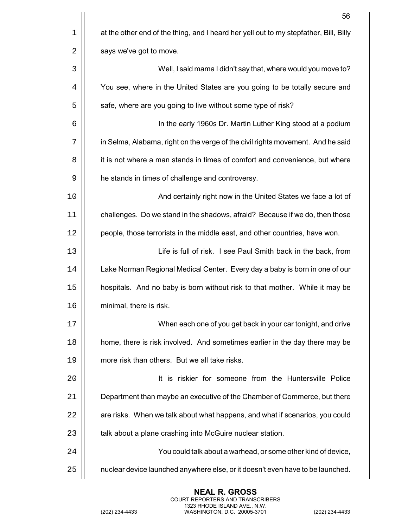|    | 56                                                                                    |
|----|---------------------------------------------------------------------------------------|
| 1  | at the other end of the thing, and I heard her yell out to my stepfather, Bill, Billy |
| 2  | says we've got to move.                                                               |
| 3  | Well, I said mama I didn't say that, where would you move to?                         |
| 4  | You see, where in the United States are you going to be totally secure and            |
| 5  | safe, where are you going to live without some type of risk?                          |
| 6  | In the early 1960s Dr. Martin Luther King stood at a podium                           |
| 7  | in Selma, Alabama, right on the verge of the civil rights movement. And he said       |
| 8  | it is not where a man stands in times of comfort and convenience, but where           |
| 9  | he stands in times of challenge and controversy.                                      |
| 10 | And certainly right now in the United States we face a lot of                         |
| 11 | challenges. Do we stand in the shadows, afraid? Because if we do, then those          |
| 12 | people, those terrorists in the middle east, and other countries, have won.           |
| 13 | Life is full of risk. I see Paul Smith back in the back, from                         |
| 14 | Lake Norman Regional Medical Center. Every day a baby is born in one of our           |
| 15 | hospitals. And no baby is born without risk to that mother. While it may be           |
| 16 | minimal, there is risk.                                                               |
| 17 | When each one of you get back in your car tonight, and drive                          |
| 18 | home, there is risk involved. And sometimes earlier in the day there may be           |
| 19 | more risk than others. But we all take risks.                                         |
| 20 | It is riskier for someone from the Huntersville Police                                |
| 21 | Department than maybe an executive of the Chamber of Commerce, but there              |
| 22 | are risks. When we talk about what happens, and what if scenarios, you could          |
| 23 | talk about a plane crashing into McGuire nuclear station.                             |
| 24 | You could talk about a warhead, or some other kind of device,                         |
| 25 | nuclear device launched anywhere else, or it doesn't even have to be launched.        |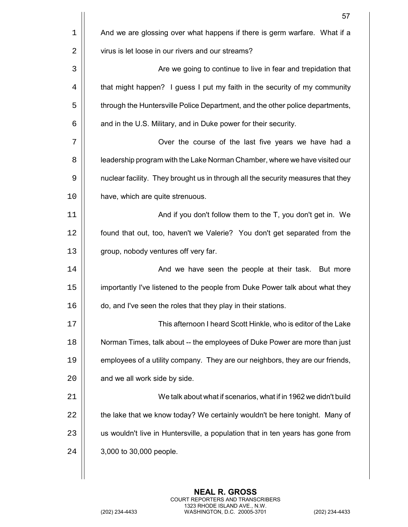|    | 57                                                                               |
|----|----------------------------------------------------------------------------------|
| 1  | And we are glossing over what happens if there is germ warfare. What if a        |
| 2  | virus is let loose in our rivers and our streams?                                |
| 3  | Are we going to continue to live in fear and trepidation that                    |
| 4  | that might happen? I guess I put my faith in the security of my community        |
| 5  | through the Huntersville Police Department, and the other police departments,    |
| 6  | and in the U.S. Military, and in Duke power for their security.                  |
| 7  | Over the course of the last five years we have had a                             |
| 8  | leadership program with the Lake Norman Chamber, where we have visited our       |
| 9  | nuclear facility. They brought us in through all the security measures that they |
| 10 | have, which are quite strenuous.                                                 |
| 11 | And if you don't follow them to the T, you don't get in. We                      |
| 12 | found that out, too, haven't we Valerie? You don't get separated from the        |
| 13 | group, nobody ventures off very far.                                             |
| 14 | And we have seen the people at their task. But more                              |
| 15 | importantly I've listened to the people from Duke Power talk about what they     |
| 16 | do, and I've seen the roles that they play in their stations.                    |
| 17 | This afternoon I heard Scott Hinkle, who is editor of the Lake                   |
| 18 | Norman Times, talk about -- the employees of Duke Power are more than just       |
| 19 | employees of a utility company. They are our neighbors, they are our friends,    |
| 20 | and we all work side by side.                                                    |
| 21 | We talk about what if scenarios, what if in 1962 we didn't build                 |
| 22 | the lake that we know today? We certainly wouldn't be here tonight. Many of      |
| 23 | us wouldn't live in Huntersville, a population that in ten years has gone from   |
| 24 | 3,000 to 30,000 people.                                                          |
|    |                                                                                  |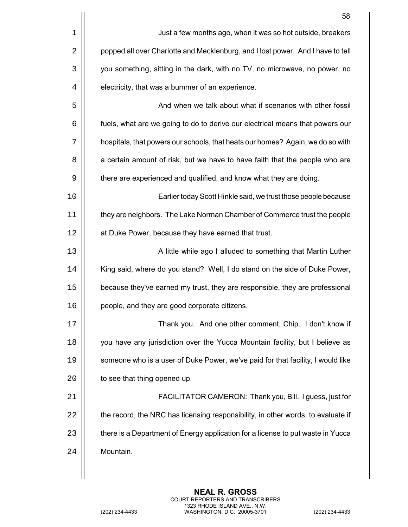|    | 58                                                                               |
|----|----------------------------------------------------------------------------------|
| 1  | Just a few months ago, when it was so hot outside, breakers                      |
| 2  | popped all over Charlotte and Mecklenburg, and I lost power. And I have to tell  |
| 3  | you something, sitting in the dark, with no TV, no microwave, no power, no       |
| 4  | electricity, that was a bummer of an experience.                                 |
| 5  | And when we talk about what if scenarios with other fossil                       |
| 6  | fuels, what are we going to do to derive our electrical means that powers our    |
| 7  | hospitals, that powers our schools, that heats our homes? Again, we do so with   |
| 8  | a certain amount of risk, but we have to have faith that the people who are      |
| 9  | there are experienced and qualified, and know what they are doing.               |
| 10 | Earlier today Scott Hinkle said, we trust those people because                   |
| 11 | they are neighbors. The Lake Norman Chamber of Commerce trust the people         |
| 12 | at Duke Power, because they have earned that trust.                              |
| 13 | A little while ago I alluded to something that Martin Luther                     |
| 14 | King said, where do you stand? Well, I do stand on the side of Duke Power,       |
| 15 | because they've earned my trust, they are responsible, they are professional     |
| 16 | people, and they are good corporate citizens.                                    |
| 17 | Thank you. And one other comment, Chip. I don't know if                          |
| 18 | you have any jurisdiction over the Yucca Mountain facility, but I believe as     |
| 19 | someone who is a user of Duke Power, we've paid for that facility, I would like  |
| 20 | to see that thing opened up.                                                     |
| 21 | FACILITATOR CAMERON: Thank you, Bill. I guess, just for                          |
| 22 | the record, the NRC has licensing responsibility, in other words, to evaluate if |
| 23 | there is a Department of Energy application for a license to put waste in Yucca  |
| 24 | Mountain.                                                                        |
|    |                                                                                  |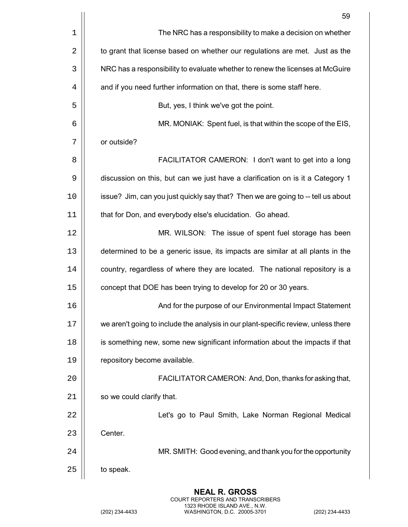|             | 59                                                                                 |
|-------------|------------------------------------------------------------------------------------|
| $\mathbf 1$ | The NRC has a responsibility to make a decision on whether                         |
| 2           | to grant that license based on whether our regulations are met. Just as the        |
| 3           | NRC has a responsibility to evaluate whether to renew the licenses at McGuire      |
| 4           | and if you need further information on that, there is some staff here.             |
| 5           | But, yes, I think we've got the point.                                             |
| 6           | MR. MONIAK: Spent fuel, is that within the scope of the EIS,                       |
| 7           | or outside?                                                                        |
| 8           | FACILITATOR CAMERON: I don't want to get into a long                               |
| 9           | discussion on this, but can we just have a clarification on is it a Category 1     |
| 10          | issue? Jim, can you just quickly say that? Then we are going to -- tell us about   |
| 11          | that for Don, and everybody else's elucidation. Go ahead.                          |
| 12          | MR. WILSON: The issue of spent fuel storage has been                               |
| 13          | determined to be a generic issue, its impacts are similar at all plants in the     |
| 14          | country, regardless of where they are located. The national repository is a        |
| 15          | concept that DOE has been trying to develop for 20 or 30 years.                    |
| 16          | And for the purpose of our Environmental Impact Statement                          |
| 17          | we aren't going to include the analysis in our plant-specific review, unless there |
| 18          | is something new, some new significant information about the impacts if that       |
| 19          | repository become available.                                                       |
| 20          | FACILITATOR CAMERON: And, Don, thanks for asking that,                             |
| 21          | so we could clarify that.                                                          |
| 22          | Let's go to Paul Smith, Lake Norman Regional Medical                               |
| 23          | Center.                                                                            |
| 24          | MR. SMITH: Good evening, and thank you for the opportunity                         |
| 25          | to speak.                                                                          |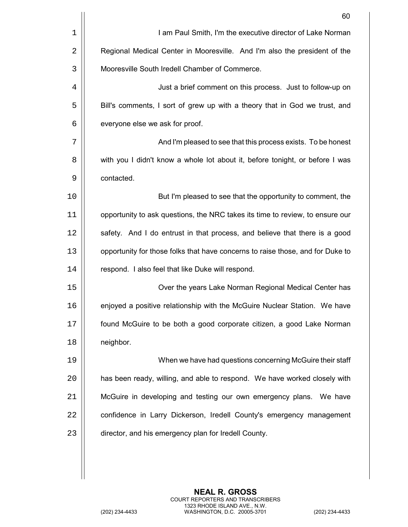|             | 60                                                                             |
|-------------|--------------------------------------------------------------------------------|
| $\mathbf 1$ | I am Paul Smith, I'm the executive director of Lake Norman                     |
| 2           | Regional Medical Center in Mooresville. And I'm also the president of the      |
| 3           | Mooresville South Iredell Chamber of Commerce.                                 |
| 4           | Just a brief comment on this process. Just to follow-up on                     |
| 5           | Bill's comments, I sort of grew up with a theory that in God we trust, and     |
| 6           | everyone else we ask for proof.                                                |
| 7           | And I'm pleased to see that this process exists. To be honest                  |
| 8           | with you I didn't know a whole lot about it, before tonight, or before I was   |
| 9           | contacted.                                                                     |
| 10          | But I'm pleased to see that the opportunity to comment, the                    |
| 11          | opportunity to ask questions, the NRC takes its time to review, to ensure our  |
| 12          | safety. And I do entrust in that process, and believe that there is a good     |
| 13          | opportunity for those folks that have concerns to raise those, and for Duke to |
| 14          | respond. I also feel that like Duke will respond.                              |
| 15          | Over the years Lake Norman Regional Medical Center has                         |
| 16          | enjoyed a positive relationship with the McGuire Nuclear Station. We have      |
| 17          | found McGuire to be both a good corporate citizen, a good Lake Norman          |
| 18          | neighbor.                                                                      |
| 19          | When we have had questions concerning McGuire their staff                      |
| 20          | has been ready, willing, and able to respond. We have worked closely with      |
| 21          | McGuire in developing and testing our own emergency plans. We have             |
| 22          | confidence in Larry Dickerson, Iredell County's emergency management           |
| 23          | director, and his emergency plan for Iredell County.                           |
|             |                                                                                |
|             |                                                                                |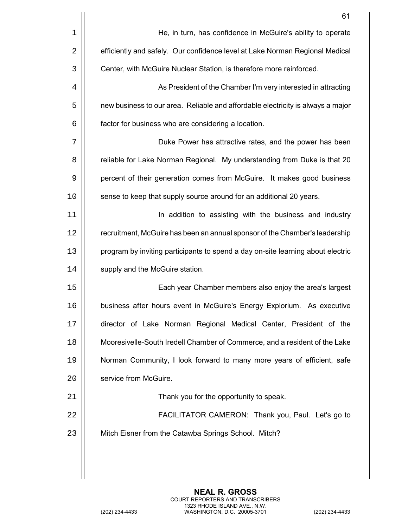|    | 61                                                                              |
|----|---------------------------------------------------------------------------------|
| 1  | He, in turn, has confidence in McGuire's ability to operate                     |
| 2  | efficiently and safely. Our confidence level at Lake Norman Regional Medical    |
| 3  | Center, with McGuire Nuclear Station, is therefore more reinforced.             |
| 4  | As President of the Chamber I'm very interested in attracting                   |
| 5  | new business to our area. Reliable and affordable electricity is always a major |
| 6  | factor for business who are considering a location.                             |
| 7  | Duke Power has attractive rates, and the power has been                         |
| 8  | reliable for Lake Norman Regional. My understanding from Duke is that 20        |
| 9  | percent of their generation comes from McGuire. It makes good business          |
| 10 | sense to keep that supply source around for an additional 20 years.             |
| 11 | In addition to assisting with the business and industry                         |
| 12 | recruitment, McGuire has been an annual sponsor of the Chamber's leadership     |
| 13 | program by inviting participants to spend a day on-site learning about electric |
| 14 | supply and the McGuire station.                                                 |
| 15 | Each year Chamber members also enjoy the area's largest                         |
| 16 | business after hours event in McGuire's Energy Explorium. As executive          |
| 17 | director of Lake Norman Regional Medical Center, President of the               |
| 18 | Mooresivelle-South Iredell Chamber of Commerce, and a resident of the Lake      |
| 19 | Norman Community, I look forward to many more years of efficient, safe          |
| 20 | service from McGuire.                                                           |
| 21 | Thank you for the opportunity to speak.                                         |
| 22 | FACILITATOR CAMERON: Thank you, Paul. Let's go to                               |
| 23 | Mitch Eisner from the Catawba Springs School. Mitch?                            |
|    |                                                                                 |
|    |                                                                                 |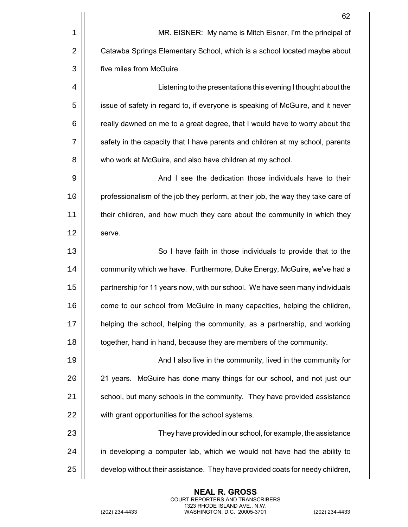| 62                                                                               |
|----------------------------------------------------------------------------------|
| MR. EISNER: My name is Mitch Eisner, I'm the principal of                        |
| Catawba Springs Elementary School, which is a school located maybe about         |
| five miles from McGuire.                                                         |
| Listening to the presentations this evening I thought about the                  |
| issue of safety in regard to, if everyone is speaking of McGuire, and it never   |
| really dawned on me to a great degree, that I would have to worry about the      |
| safety in the capacity that I have parents and children at my school, parents    |
| who work at McGuire, and also have children at my school.                        |
| And I see the dedication those individuals have to their                         |
| professionalism of the job they perform, at their job, the way they take care of |
| their children, and how much they care about the community in which they         |
| serve.                                                                           |
| So I have faith in those individuals to provide that to the                      |
| community which we have. Furthermore, Duke Energy, McGuire, we've had a          |
| partnership for 11 years now, with our school. We have seen many individuals     |
| come to our school from McGuire in many capacities, helping the children,        |
| helping the school, helping the community, as a partnership, and working         |
| together, hand in hand, because they are members of the community.               |
| And I also live in the community, lived in the community for                     |
| 21 years. McGuire has done many things for our school, and not just our          |
| school, but many schools in the community. They have provided assistance         |
| with grant opportunities for the school systems.                                 |
| They have provided in our school, for example, the assistance                    |
| in developing a computer lab, which we would not have had the ability to         |
| develop without their assistance. They have provided coats for needy children,   |
|                                                                                  |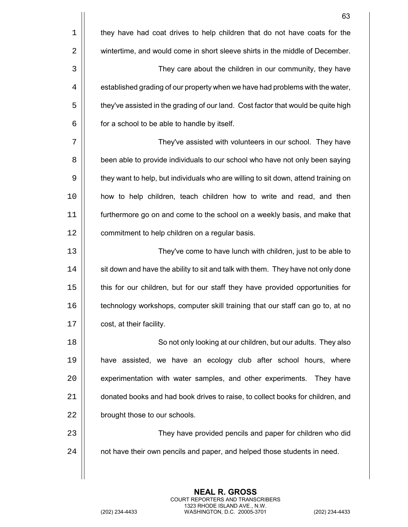|    | 63                                                                                 |
|----|------------------------------------------------------------------------------------|
| 1  | they have had coat drives to help children that do not have coats for the          |
| 2  | wintertime, and would come in short sleeve shirts in the middle of December.       |
| 3  | They care about the children in our community, they have                           |
| 4  | established grading of our property when we have had problems with the water,      |
| 5  | they've assisted in the grading of our land. Cost factor that would be quite high  |
| 6  | for a school to be able to handle by itself.                                       |
| 7  | They've assisted with volunteers in our school. They have                          |
| 8  | been able to provide individuals to our school who have not only been saying       |
| 9  | they want to help, but individuals who are willing to sit down, attend training on |
| 10 | how to help children, teach children how to write and read, and then               |
| 11 | furthermore go on and come to the school on a weekly basis, and make that          |
| 12 | commitment to help children on a regular basis.                                    |
| 13 | They've come to have lunch with children, just to be able to                       |
| 14 | sit down and have the ability to sit and talk with them. They have not only done   |
| 15 | this for our children, but for our staff they have provided opportunities for      |
| 16 | technology workshops, computer skill training that our staff can go to, at no      |
| 17 | cost, at their facility.                                                           |
| 18 | So not only looking at our children, but our adults. They also                     |
| 19 | have assisted, we have an ecology club after school hours, where                   |
| 20 | experimentation with water samples, and other experiments. They have               |
| 21 | donated books and had book drives to raise, to collect books for children, and     |
| 22 | brought those to our schools.                                                      |
| 23 | They have provided pencils and paper for children who did                          |
| 24 | not have their own pencils and paper, and helped those students in need.           |
|    |                                                                                    |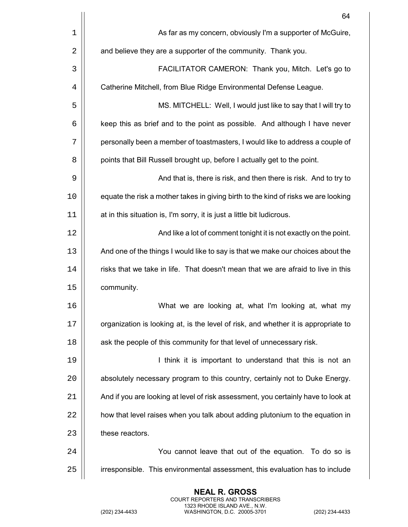|    | 64                                                                                 |
|----|------------------------------------------------------------------------------------|
| 1  | As far as my concern, obviously I'm a supporter of McGuire,                        |
| 2  | and believe they are a supporter of the community. Thank you.                      |
| 3  | FACILITATOR CAMERON: Thank you, Mitch. Let's go to                                 |
| 4  | Catherine Mitchell, from Blue Ridge Environmental Defense League.                  |
| 5  | MS. MITCHELL: Well, I would just like to say that I will try to                    |
| 6  | keep this as brief and to the point as possible. And although I have never         |
| 7  | personally been a member of toastmasters, I would like to address a couple of      |
| 8  | points that Bill Russell brought up, before I actually get to the point.           |
| 9  | And that is, there is risk, and then there is risk. And to try to                  |
| 10 | equate the risk a mother takes in giving birth to the kind of risks we are looking |
| 11 | at in this situation is, I'm sorry, it is just a little bit ludicrous.             |
| 12 | And like a lot of comment tonight it is not exactly on the point.                  |
| 13 | And one of the things I would like to say is that we make our choices about the    |
| 14 | risks that we take in life. That doesn't mean that we are afraid to live in this   |
| 15 | community.                                                                         |
| 16 | What we are looking at, what I'm looking at, what my                               |
| 17 | organization is looking at, is the level of risk, and whether it is appropriate to |
| 18 | ask the people of this community for that level of unnecessary risk.               |
| 19 | I think it is important to understand that this is not an                          |
| 20 | absolutely necessary program to this country, certainly not to Duke Energy.        |
| 21 | And if you are looking at level of risk assessment, you certainly have to look at  |
| 22 | how that level raises when you talk about adding plutonium to the equation in      |
| 23 | these reactors.                                                                    |
| 24 | You cannot leave that out of the equation. To do so is                             |
| 25 | irresponsible. This environmental assessment, this evaluation has to include       |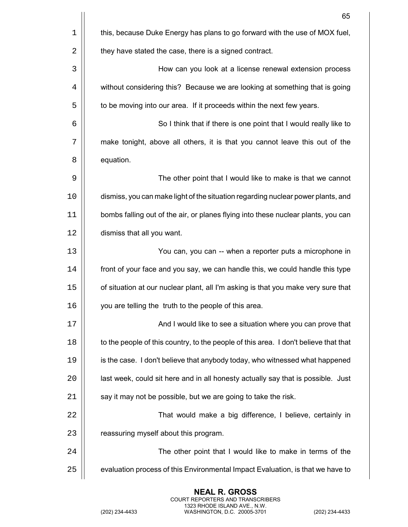|    | 65                                                                                   |
|----|--------------------------------------------------------------------------------------|
| 1  | this, because Duke Energy has plans to go forward with the use of MOX fuel,          |
| 2  | they have stated the case, there is a signed contract.                               |
| 3  | How can you look at a license renewal extension process                              |
| 4  | without considering this? Because we are looking at something that is going          |
| 5  | to be moving into our area. If it proceeds within the next few years.                |
| 6  | So I think that if there is one point that I would really like to                    |
| 7  | make tonight, above all others, it is that you cannot leave this out of the          |
| 8  | equation.                                                                            |
| 9  | The other point that I would like to make is that we cannot                          |
| 10 | dismiss, you can make light of the situation regarding nuclear power plants, and     |
| 11 | bombs falling out of the air, or planes flying into these nuclear plants, you can    |
| 12 | dismiss that all you want.                                                           |
| 13 | You can, you can -- when a reporter puts a microphone in                             |
| 14 | front of your face and you say, we can handle this, we could handle this type        |
| 15 | of situation at our nuclear plant, all I'm asking is that you make very sure that    |
| 16 | you are telling the truth to the people of this area.                                |
| 17 | And I would like to see a situation where you can prove that                         |
| 18 | to the people of this country, to the people of this area. I don't believe that that |
| 19 | is the case. I don't believe that anybody today, who witnessed what happened         |
| 20 | last week, could sit here and in all honesty actually say that is possible. Just     |
| 21 | say it may not be possible, but we are going to take the risk.                       |
| 22 | That would make a big difference, I believe, certainly in                            |
| 23 | reassuring myself about this program.                                                |
| 24 | The other point that I would like to make in terms of the                            |
| 25 | evaluation process of this Environmental Impact Evaluation, is that we have to       |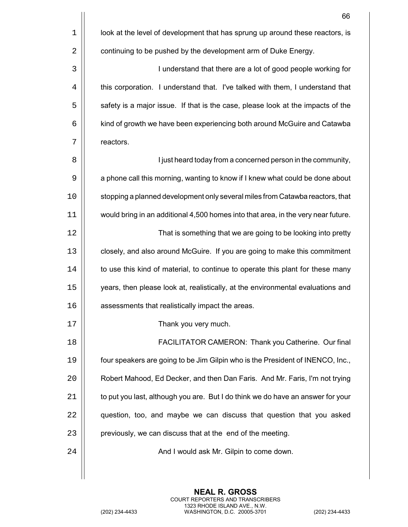|    | 66                                                                                |
|----|-----------------------------------------------------------------------------------|
| 1  | look at the level of development that has sprung up around these reactors, is     |
| 2  | continuing to be pushed by the development arm of Duke Energy.                    |
| 3  | I understand that there are a lot of good people working for                      |
| 4  | this corporation. I understand that. I've talked with them, I understand that     |
| 5  | safety is a major issue. If that is the case, please look at the impacts of the   |
| 6  | kind of growth we have been experiencing both around McGuire and Catawba          |
| 7  | reactors.                                                                         |
| 8  | I just heard today from a concerned person in the community,                      |
| 9  | a phone call this morning, wanting to know if I knew what could be done about     |
| 10 | stopping a planned development only several miles from Catawba reactors, that     |
| 11 | would bring in an additional 4,500 homes into that area, in the very near future. |
| 12 | That is something that we are going to be looking into pretty                     |
| 13 | closely, and also around McGuire. If you are going to make this commitment        |
| 14 | to use this kind of material, to continue to operate this plant for these many    |
| 15 | years, then please look at, realistically, at the environmental evaluations and   |
| 16 | assessments that realistically impact the areas.                                  |
| 17 | Thank you very much.                                                              |
| 18 | FACILITATOR CAMERON: Thank you Catherine. Our final                               |
| 19 | four speakers are going to be Jim Gilpin who is the President of INENCO, Inc.,    |
| 20 | Robert Mahood, Ed Decker, and then Dan Faris. And Mr. Faris, I'm not trying       |
| 21 | to put you last, although you are. But I do think we do have an answer for your   |
| 22 | question, too, and maybe we can discuss that question that you asked              |
| 23 | previously, we can discuss that at the end of the meeting.                        |
| 24 | And I would ask Mr. Gilpin to come down.                                          |
|    |                                                                                   |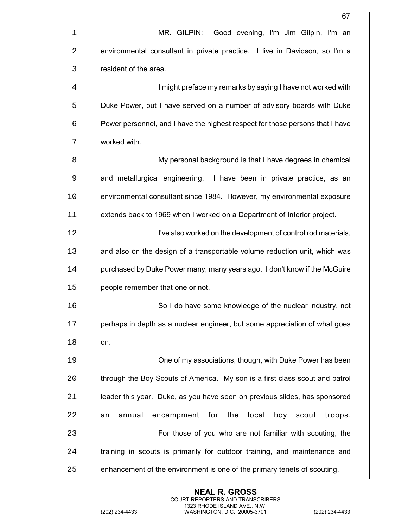|    | 67                                                                            |
|----|-------------------------------------------------------------------------------|
| 1  | Good evening, I'm Jim Gilpin, I'm an<br>MR. GILPIN:                           |
| 2  | environmental consultant in private practice. I live in Davidson, so I'm a    |
| 3  | resident of the area.                                                         |
| 4  | I might preface my remarks by saying I have not worked with                   |
| 5  | Duke Power, but I have served on a number of advisory boards with Duke        |
| 6  | Power personnel, and I have the highest respect for those persons that I have |
| 7  | worked with.                                                                  |
| 8  | My personal background is that I have degrees in chemical                     |
| 9  | and metallurgical engineering. I have been in private practice, as an         |
| 10 | environmental consultant since 1984. However, my environmental exposure       |
| 11 | extends back to 1969 when I worked on a Department of Interior project.       |
| 12 | I've also worked on the development of control rod materials,                 |
| 13 | and also on the design of a transportable volume reduction unit, which was    |
| 14 | purchased by Duke Power many, many years ago. I don't know if the McGuire     |
| 15 | people remember that one or not.                                              |
| 16 | So I do have some knowledge of the nuclear industry, not                      |
| 17 | perhaps in depth as a nuclear engineer, but some appreciation of what goes    |
| 18 | on.                                                                           |
| 19 | One of my associations, though, with Duke Power has been                      |
| 20 | through the Boy Scouts of America. My son is a first class scout and patrol   |
| 21 | leader this year. Duke, as you have seen on previous slides, has sponsored    |
| 22 | local<br>annual<br>encampment<br>for<br>the<br>boy<br>scout<br>troops.<br>an  |
| 23 | For those of you who are not familiar with scouting, the                      |
| 24 | training in scouts is primarily for outdoor training, and maintenance and     |
| 25 | enhancement of the environment is one of the primary tenets of scouting.      |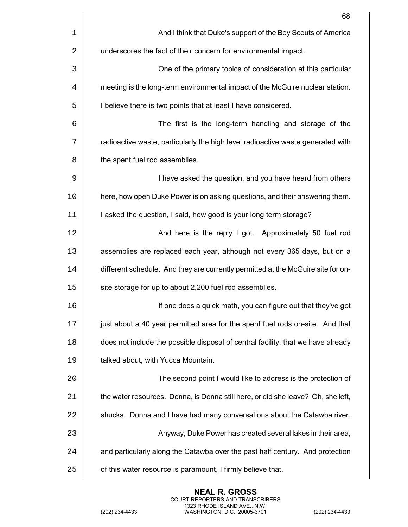|    | 68                                                                               |
|----|----------------------------------------------------------------------------------|
| 1  | And I think that Duke's support of the Boy Scouts of America                     |
| 2  | underscores the fact of their concern for environmental impact.                  |
| 3  | One of the primary topics of consideration at this particular                    |
| 4  | meeting is the long-term environmental impact of the McGuire nuclear station.    |
| 5  | I believe there is two points that at least I have considered.                   |
| 6  | The first is the long-term handling and storage of the                           |
| 7  | radioactive waste, particularly the high level radioactive waste generated with  |
| 8  | the spent fuel rod assemblies.                                                   |
| 9  | I have asked the question, and you have heard from others                        |
| 10 | here, how open Duke Power is on asking questions, and their answering them.      |
| 11 | I asked the question, I said, how good is your long term storage?                |
| 12 | And here is the reply I got. Approximately 50 fuel rod                           |
| 13 | assemblies are replaced each year, although not every 365 days, but on a         |
| 14 | different schedule. And they are currently permitted at the McGuire site for on- |
| 15 | site storage for up to about 2,200 fuel rod assemblies.                          |
| 16 | If one does a quick math, you can figure out that they've got                    |
| 17 | just about a 40 year permitted area for the spent fuel rods on-site. And that    |
| 18 | does not include the possible disposal of central facility, that we have already |
| 19 | talked about, with Yucca Mountain.                                               |
| 20 | The second point I would like to address is the protection of                    |
| 21 | the water resources. Donna, is Donna still here, or did she leave? Oh, she left, |
| 22 | shucks. Donna and I have had many conversations about the Catawba river.         |
| 23 | Anyway, Duke Power has created several lakes in their area,                      |
| 24 | and particularly along the Catawba over the past half century. And protection    |
| 25 | of this water resource is paramount, I firmly believe that.                      |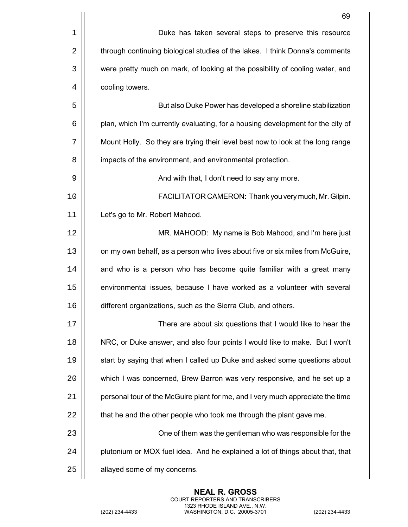|      | 69                                                                              |
|------|---------------------------------------------------------------------------------|
| 1    | Duke has taken several steps to preserve this resource                          |
| 2    | through continuing biological studies of the lakes. I think Donna's comments    |
| 3    | were pretty much on mark, of looking at the possibility of cooling water, and   |
| 4    | cooling towers.                                                                 |
| 5    | But also Duke Power has developed a shoreline stabilization                     |
| 6    | plan, which I'm currently evaluating, for a housing development for the city of |
| 7    | Mount Holly. So they are trying their level best now to look at the long range  |
| 8    | impacts of the environment, and environmental protection.                       |
| 9    | And with that, I don't need to say any more.                                    |
| 10   | FACILITATOR CAMERON: Thank you very much, Mr. Gilpin.                           |
| 11   | Let's go to Mr. Robert Mahood.                                                  |
| 12   | MR. MAHOOD: My name is Bob Mahood, and I'm here just                            |
| 13   | on my own behalf, as a person who lives about five or six miles from McGuire,   |
| 14   | and who is a person who has become quite familiar with a great many             |
| 15   | environmental issues, because I have worked as a volunteer with several         |
| 16   | different organizations, such as the Sierra Club, and others.                   |
| $17$ | There are about six questions that I would like to hear the                     |
| 18   | NRC, or Duke answer, and also four points I would like to make. But I won't     |
| 19   | start by saying that when I called up Duke and asked some questions about       |
| 20   | which I was concerned, Brew Barron was very responsive, and he set up a         |
| 21   | personal tour of the McGuire plant for me, and I very much appreciate the time  |
| 22   | that he and the other people who took me through the plant gave me.             |
| 23   | One of them was the gentleman who was responsible for the                       |
| 24   | plutonium or MOX fuel idea. And he explained a lot of things about that, that   |
| 25   | allayed some of my concerns.                                                    |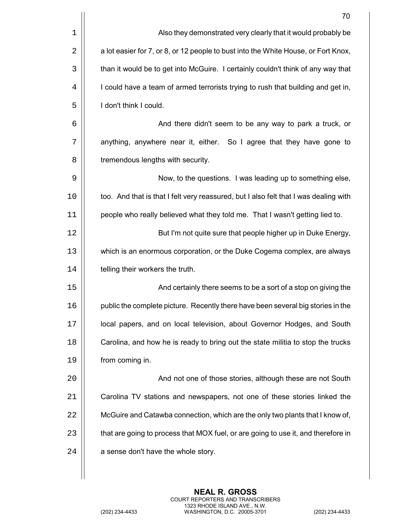|    | 70                                                                                   |
|----|--------------------------------------------------------------------------------------|
| 1  | Also they demonstrated very clearly that it would probably be                        |
| 2  | a lot easier for 7, or 8, or 12 people to bust into the White House, or Fort Knox,   |
| 3  | than it would be to get into McGuire. I certainly couldn't think of any way that     |
| 4  | I could have a team of armed terrorists trying to rush that building and get in,     |
| 5  | I don't think I could.                                                               |
| 6  | And there didn't seem to be any way to park a truck, or                              |
| 7  | anything, anywhere near it, either. So I agree that they have gone to                |
| 8  | tremendous lengths with security.                                                    |
| 9  | Now, to the questions. I was leading up to something else,                           |
| 10 | too. And that is that I felt very reassured, but I also felt that I was dealing with |
| 11 | people who really believed what they told me. That I wasn't getting lied to.         |
| 12 | But I'm not quite sure that people higher up in Duke Energy,                         |
| 13 | which is an enormous corporation, or the Duke Cogema complex, are always             |
| 14 | telling their workers the truth.                                                     |
| 15 | And certainly there seems to be a sort of a stop on giving the                       |
| 16 | public the complete picture. Recently there have been several big stories in the     |
| 17 | local papers, and on local television, about Governor Hodges, and South              |
| 18 | Carolina, and how he is ready to bring out the state militia to stop the trucks      |
| 19 | from coming in.                                                                      |
| 20 | And not one of those stories, although these are not South                           |
| 21 | Carolina TV stations and newspapers, not one of these stories linked the             |
| 22 | McGuire and Catawba connection, which are the only two plants that I know of,        |
| 23 | that are going to process that MOX fuel, or are going to use it, and therefore in    |
| 24 | a sense don't have the whole story.                                                  |
|    |                                                                                      |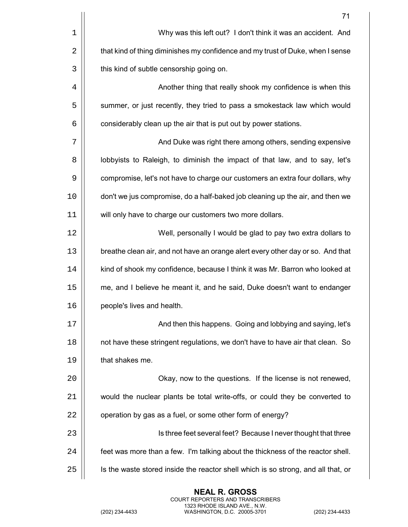|                | 71                                                                                |
|----------------|-----------------------------------------------------------------------------------|
| $\mathbf 1$    | Why was this left out? I don't think it was an accident. And                      |
| $\overline{2}$ | that kind of thing diminishes my confidence and my trust of Duke, when I sense    |
| 3              | this kind of subtle censorship going on.                                          |
| 4              | Another thing that really shook my confidence is when this                        |
| 5              | summer, or just recently, they tried to pass a smokestack law which would         |
| 6              | considerably clean up the air that is put out by power stations.                  |
| 7              | And Duke was right there among others, sending expensive                          |
| 8              | lobbyists to Raleigh, to diminish the impact of that law, and to say, let's       |
| 9              | compromise, let's not have to charge our customers an extra four dollars, why     |
| 10             | don't we jus compromise, do a half-baked job cleaning up the air, and then we     |
| 11             | will only have to charge our customers two more dollars.                          |
| 12             | Well, personally I would be glad to pay two extra dollars to                      |
| 13             | breathe clean air, and not have an orange alert every other day or so. And that   |
| 14             | kind of shook my confidence, because I think it was Mr. Barron who looked at      |
| 15             | me, and I believe he meant it, and he said, Duke doesn't want to endanger         |
| 16             | people's lives and health.                                                        |
| 17             | And then this happens. Going and lobbying and saying, let's                       |
| 18             | not have these stringent regulations, we don't have to have air that clean. So    |
| 19             | that shakes me.                                                                   |
| 20             | Okay, now to the questions. If the license is not renewed,                        |
| 21             | would the nuclear plants be total write-offs, or could they be converted to       |
| 22             | operation by gas as a fuel, or some other form of energy?                         |
| 23             | Is three feet several feet? Because I never thought that three                    |
| 24             | feet was more than a few. I'm talking about the thickness of the reactor shell.   |
| 25             | Is the waste stored inside the reactor shell which is so strong, and all that, or |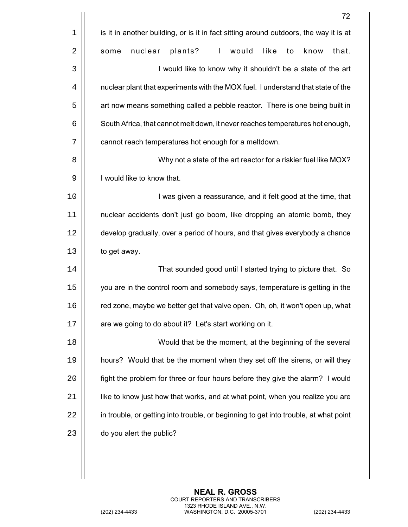|             | 72                                                                                    |
|-------------|---------------------------------------------------------------------------------------|
| $\mathbf 1$ | is it in another building, or is it in fact sitting around outdoors, the way it is at |
| 2           | plants?<br>nuclear<br>$\mathbf{I}$<br>would<br>like<br>that.<br>to<br>know<br>some    |
| 3           | I would like to know why it shouldn't be a state of the art                           |
| 4           | nuclear plant that experiments with the MOX fuel. I understand that state of the      |
| 5           | art now means something called a pebble reactor. There is one being built in          |
| 6           | South Africa, that cannot melt down, it never reaches temperatures hot enough,        |
| 7           | cannot reach temperatures hot enough for a meltdown.                                  |
| 8           | Why not a state of the art reactor for a riskier fuel like MOX?                       |
| 9           | I would like to know that.                                                            |
| 10          | I was given a reassurance, and it felt good at the time, that                         |
| 11          | nuclear accidents don't just go boom, like dropping an atomic bomb, they              |
| 12          | develop gradually, over a period of hours, and that gives everybody a chance          |
| 13          | to get away.                                                                          |
| 14          | That sounded good until I started trying to picture that. So                          |
| 15          | you are in the control room and somebody says, temperature is getting in the          |
| 16          | red zone, maybe we better get that valve open. Oh, oh, it won't open up, what         |
| 17          | are we going to do about it? Let's start working on it.                               |
| 18          | Would that be the moment, at the beginning of the several                             |
| 19          | hours? Would that be the moment when they set off the sirens, or will they            |
| 20          | fight the problem for three or four hours before they give the alarm? I would         |
| 21          | like to know just how that works, and at what point, when you realize you are         |
| 22          | in trouble, or getting into trouble, or beginning to get into trouble, at what point  |
| 23          | do you alert the public?                                                              |
|             |                                                                                       |
|             |                                                                                       |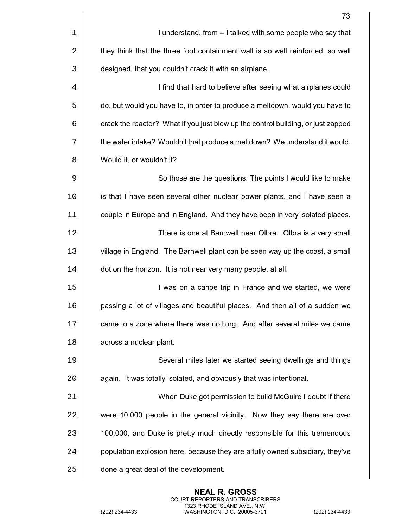|    | 73                                                                               |
|----|----------------------------------------------------------------------------------|
| 1  | I understand, from -- I talked with some people who say that                     |
| 2  | they think that the three foot containment wall is so well reinforced, so well   |
| 3  | designed, that you couldn't crack it with an airplane.                           |
| 4  | I find that hard to believe after seeing what airplanes could                    |
| 5  | do, but would you have to, in order to produce a meltdown, would you have to     |
| 6  | crack the reactor? What if you just blew up the control building, or just zapped |
| 7  | the water intake? Wouldn't that produce a meltdown? We understand it would.      |
| 8  | Would it, or wouldn't it?                                                        |
| 9  | So those are the questions. The points I would like to make                      |
| 10 | is that I have seen several other nuclear power plants, and I have seen a        |
| 11 | couple in Europe and in England. And they have been in very isolated places.     |
| 12 | There is one at Barnwell near Olbra. Olbra is a very small                       |
| 13 | village in England. The Barnwell plant can be seen way up the coast, a small     |
| 14 | dot on the horizon. It is not near very many people, at all.                     |
| 15 | I was on a canoe trip in France and we started, we were                          |
| 16 | passing a lot of villages and beautiful places. And then all of a sudden we      |
| 17 | came to a zone where there was nothing. And after several miles we came          |
| 18 | across a nuclear plant.                                                          |
| 19 | Several miles later we started seeing dwellings and things                       |
| 20 | again. It was totally isolated, and obviously that was intentional.              |
| 21 | When Duke got permission to build McGuire I doubt if there                       |
| 22 | were 10,000 people in the general vicinity. Now they say there are over          |
| 23 | 100,000, and Duke is pretty much directly responsible for this tremendous        |
| 24 | population explosion here, because they are a fully owned subsidiary, they've    |
| 25 | done a great deal of the development.                                            |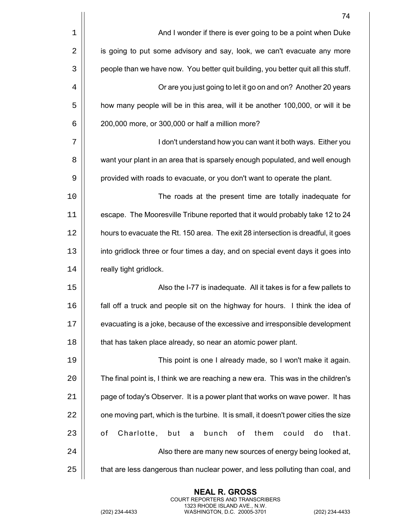|    | 74                                                                                   |
|----|--------------------------------------------------------------------------------------|
| 1  | And I wonder if there is ever going to be a point when Duke                          |
| 2  | is going to put some advisory and say, look, we can't evacuate any more              |
| 3  | people than we have now. You better quit building, you better quit all this stuff.   |
| 4  | Or are you just going to let it go on and on? Another 20 years                       |
| 5  | how many people will be in this area, will it be another 100,000, or will it be      |
| 6  | 200,000 more, or 300,000 or half a million more?                                     |
| 7  | I don't understand how you can want it both ways. Either you                         |
| 8  | want your plant in an area that is sparsely enough populated, and well enough        |
| 9  | provided with roads to evacuate, or you don't want to operate the plant.             |
| 10 | The roads at the present time are totally inadequate for                             |
| 11 | escape. The Mooresville Tribune reported that it would probably take 12 to 24        |
| 12 | hours to evacuate the Rt. 150 area. The exit 28 intersection is dreadful, it goes    |
| 13 | into gridlock three or four times a day, and on special event days it goes into      |
| 14 | really tight gridlock.                                                               |
| 15 | Also the I-77 is inadequate. All it takes is for a few pallets to                    |
| 16 | fall off a truck and people sit on the highway for hours. I think the idea of        |
| 17 | evacuating is a joke, because of the excessive and irresponsible development         |
| 18 | that has taken place already, so near an atomic power plant.                         |
| 19 | This point is one I already made, so I won't make it again.                          |
| 20 | The final point is, I think we are reaching a new era. This was in the children's    |
| 21 | page of today's Observer. It is a power plant that works on wave power. It has       |
| 22 | one moving part, which is the turbine. It is small, it doesn't power cities the size |
| 23 | Charlotte,<br>but<br>bunch<br>them<br>οf<br>оf<br>could<br>that.<br>do<br>a          |
| 24 | Also there are many new sources of energy being looked at,                           |
| 25 | that are less dangerous than nuclear power, and less polluting than coal, and        |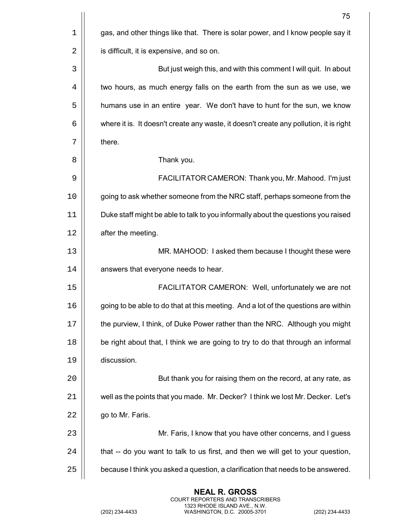|    | 75                                                                                     |
|----|----------------------------------------------------------------------------------------|
| 1  | gas, and other things like that. There is solar power, and I know people say it        |
| 2  | is difficult, it is expensive, and so on.                                              |
| 3  | But just weigh this, and with this comment I will quit. In about                       |
| 4  | two hours, as much energy falls on the earth from the sun as we use, we                |
| 5  | humans use in an entire year. We don't have to hunt for the sun, we know               |
| 6  | where it is. It doesn't create any waste, it doesn't create any pollution, it is right |
| 7  | there.                                                                                 |
| 8  | Thank you.                                                                             |
| 9  | FACILITATOR CAMERON: Thank you, Mr. Mahood. I'm just                                   |
| 10 | going to ask whether someone from the NRC staff, perhaps someone from the              |
| 11 | Duke staff might be able to talk to you informally about the questions you raised      |
| 12 | after the meeting.                                                                     |
| 13 | MR. MAHOOD: I asked them because I thought these were                                  |
| 14 | answers that everyone needs to hear.                                                   |
| 15 | FACILITATOR CAMERON: Well, unfortunately we are not                                    |
| 16 | going to be able to do that at this meeting. And a lot of the questions are within     |
| 17 | the purview, I think, of Duke Power rather than the NRC. Although you might            |
| 18 | be right about that, I think we are going to try to do that through an informal        |
| 19 | discussion.                                                                            |
| 20 | But thank you for raising them on the record, at any rate, as                          |
| 21 | well as the points that you made. Mr. Decker? I think we lost Mr. Decker. Let's        |
| 22 | go to Mr. Faris.                                                                       |
| 23 | Mr. Faris, I know that you have other concerns, and I guess                            |
| 24 | that -- do you want to talk to us first, and then we will get to your question,        |
| 25 | because I think you asked a question, a clarification that needs to be answered.       |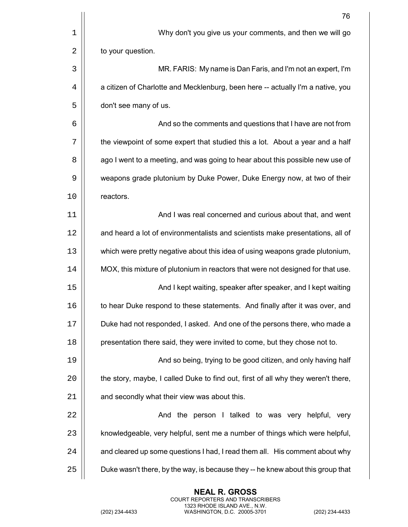|    | 76                                                                                |
|----|-----------------------------------------------------------------------------------|
| 1  | Why don't you give us your comments, and then we will go                          |
| 2  | to your question.                                                                 |
| 3  | MR. FARIS: My name is Dan Faris, and I'm not an expert, I'm                       |
| 4  | a citizen of Charlotte and Mecklenburg, been here -- actually I'm a native, you   |
| 5  | don't see many of us.                                                             |
| 6  | And so the comments and questions that I have are not from                        |
| 7  | the viewpoint of some expert that studied this a lot. About a year and a half     |
| 8  | ago I went to a meeting, and was going to hear about this possible new use of     |
| 9  | weapons grade plutonium by Duke Power, Duke Energy now, at two of their           |
| 10 | reactors.                                                                         |
| 11 | And I was real concerned and curious about that, and went                         |
| 12 | and heard a lot of environmentalists and scientists make presentations, all of    |
| 13 | which were pretty negative about this idea of using weapons grade plutonium,      |
| 14 | MOX, this mixture of plutonium in reactors that were not designed for that use.   |
| 15 | And I kept waiting, speaker after speaker, and I kept waiting                     |
| 16 | to hear Duke respond to these statements. And finally after it was over, and      |
| 17 | Duke had not responded, I asked. And one of the persons there, who made a         |
| 18 | presentation there said, they were invited to come, but they chose not to.        |
| 19 | And so being, trying to be good citizen, and only having half                     |
| 20 | the story, maybe, I called Duke to find out, first of all why they weren't there, |
| 21 | and secondly what their view was about this.                                      |
| 22 | And the person I talked to was very helpful, very                                 |
| 23 | knowledgeable, very helpful, sent me a number of things which were helpful,       |
| 24 | and cleared up some questions I had, I read them all. His comment about why       |
| 25 | Duke wasn't there, by the way, is because they -- he knew about this group that   |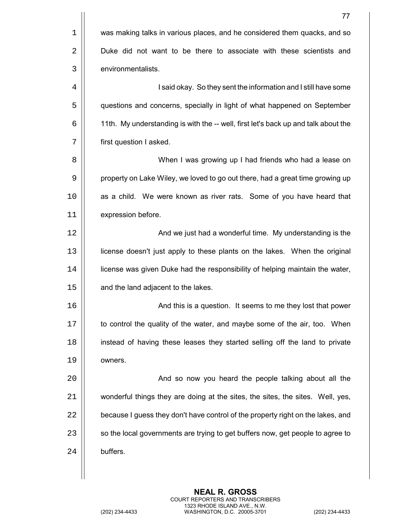|    | 77                                                                                 |
|----|------------------------------------------------------------------------------------|
| 1  | was making talks in various places, and he considered them quacks, and so          |
| 2  | Duke did not want to be there to associate with these scientists and               |
| 3  | environmentalists.                                                                 |
| 4  | I said okay. So they sent the information and I still have some                    |
| 5  | questions and concerns, specially in light of what happened on September           |
| 6  | 11th. My understanding is with the -- well, first let's back up and talk about the |
| 7  | first question I asked.                                                            |
| 8  | When I was growing up I had friends who had a lease on                             |
| 9  | property on Lake Wiley, we loved to go out there, had a great time growing up      |
| 10 | as a child. We were known as river rats. Some of you have heard that               |
| 11 | expression before.                                                                 |
| 12 | And we just had a wonderful time. My understanding is the                          |
| 13 | license doesn't just apply to these plants on the lakes. When the original         |
| 14 | license was given Duke had the responsibility of helping maintain the water,       |
| 15 | and the land adjacent to the lakes.                                                |
| 16 | And this is a question. It seems to me they lost that power                        |
| 17 | to control the quality of the water, and maybe some of the air, too. When          |
| 18 | instead of having these leases they started selling off the land to private        |
| 19 | owners.                                                                            |
| 20 | And so now you heard the people talking about all the                              |
| 21 | wonderful things they are doing at the sites, the sites, the sites. Well, yes,     |
| 22 | because I guess they don't have control of the property right on the lakes, and    |
| 23 | so the local governments are trying to get buffers now, get people to agree to     |
| 24 | buffers.                                                                           |
|    |                                                                                    |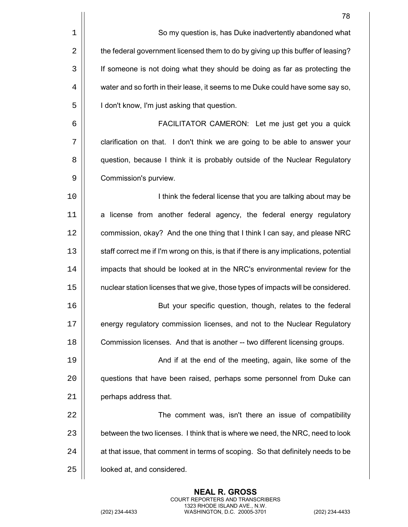| 78                                                                                     |
|----------------------------------------------------------------------------------------|
| So my question is, has Duke inadvertently abandoned what                               |
| the federal government licensed them to do by giving up this buffer of leasing?        |
| If someone is not doing what they should be doing as far as protecting the             |
| water and so forth in their lease, it seems to me Duke could have some say so,         |
| I don't know, I'm just asking that question.                                           |
| FACILITATOR CAMERON: Let me just get you a quick                                       |
| clarification on that. I don't think we are going to be able to answer your            |
| question, because I think it is probably outside of the Nuclear Regulatory             |
| Commission's purview.                                                                  |
| I think the federal license that you are talking about may be                          |
| a license from another federal agency, the federal energy regulatory                   |
| commission, okay? And the one thing that I think I can say, and please NRC             |
| staff correct me if I'm wrong on this, is that if there is any implications, potential |
| impacts that should be looked at in the NRC's environmental review for the             |
| nuclear station licenses that we give, those types of impacts will be considered.      |
| But your specific question, though, relates to the federal                             |
| energy regulatory commission licenses, and not to the Nuclear Regulatory               |
| Commission licenses. And that is another -- two different licensing groups.            |
| And if at the end of the meeting, again, like some of the                              |
| questions that have been raised, perhaps some personnel from Duke can                  |
| perhaps address that.                                                                  |
| The comment was, isn't there an issue of compatibility                                 |
| between the two licenses. I think that is where we need, the NRC, need to look         |
| at that issue, that comment in terms of scoping. So that definitely needs to be        |
| looked at, and considered.                                                             |
|                                                                                        |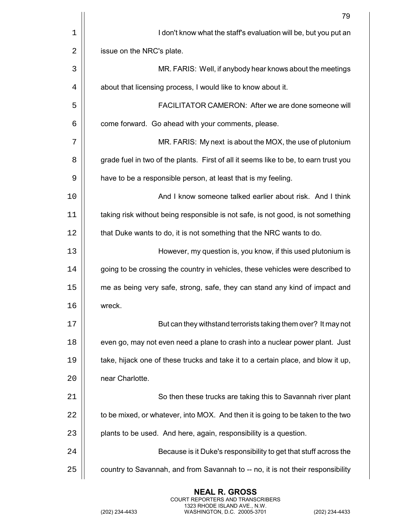|    | 79                                                                                   |
|----|--------------------------------------------------------------------------------------|
| 1  | I don't know what the staff's evaluation will be, but you put an                     |
| 2  | issue on the NRC's plate.                                                            |
| 3  | MR. FARIS: Well, if anybody hear knows about the meetings                            |
| 4  | about that licensing process, I would like to know about it.                         |
| 5  | FACILITATOR CAMERON: After we are done someone will                                  |
| 6  | come forward. Go ahead with your comments, please.                                   |
| 7  | MR. FARIS: My next is about the MOX, the use of plutonium                            |
| 8  | grade fuel in two of the plants. First of all it seems like to be, to earn trust you |
| 9  | have to be a responsible person, at least that is my feeling.                        |
| 10 | And I know someone talked earlier about risk. And I think                            |
| 11 | taking risk without being responsible is not safe, is not good, is not something     |
| 12 | that Duke wants to do, it is not something that the NRC wants to do.                 |
| 13 | However, my question is, you know, if this used plutonium is                         |
| 14 | going to be crossing the country in vehicles, these vehicles were described to       |
| 15 | me as being very safe, strong, safe, they can stand any kind of impact and           |
| 16 | wreck.                                                                               |
| 17 | But can they withstand terrorists taking them over? It may not                       |
| 18 | even go, may not even need a plane to crash into a nuclear power plant. Just         |
| 19 | take, hijack one of these trucks and take it to a certain place, and blow it up,     |
| 20 | near Charlotte.                                                                      |
| 21 | So then these trucks are taking this to Savannah river plant                         |
| 22 | to be mixed, or whatever, into MOX. And then it is going to be taken to the two      |
| 23 | plants to be used. And here, again, responsibility is a question.                    |
| 24 | Because is it Duke's responsibility to get that stuff across the                     |
| 25 | country to Savannah, and from Savannah to -- no, it is not their responsibility      |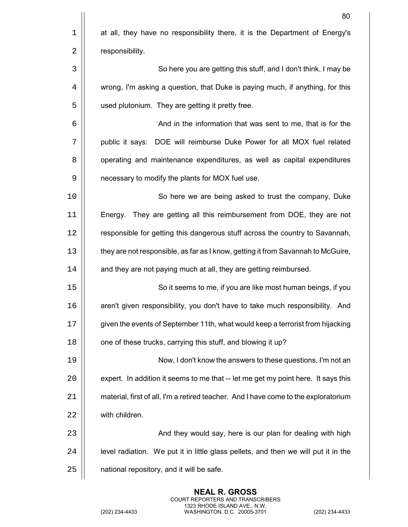|             | 80                                                                                  |
|-------------|-------------------------------------------------------------------------------------|
| $\mathbf 1$ | at all, they have no responsibility there, it is the Department of Energy's         |
| 2           | responsibility.                                                                     |
| 3           | So here you are getting this stuff, and I don't think, I may be                     |
| 4           | wrong, I'm asking a question, that Duke is paying much, if anything, for this       |
| 5           | used plutonium. They are getting it pretty free.                                    |
| 6           | And in the information that was sent to me, that is for the                         |
| 7           | public it says: DOE will reimburse Duke Power for all MOX fuel related              |
| 8           | operating and maintenance expenditures, as well as capital expenditures             |
| 9           | necessary to modify the plants for MOX fuel use.                                    |
| 10          | So here we are being asked to trust the company, Duke                               |
| 11          | They are getting all this reimbursement from DOE, they are not<br>Energy.           |
| 12          | responsible for getting this dangerous stuff across the country to Savannah,        |
| 13          | they are not responsible, as far as I know, getting it from Savannah to McGuire,    |
| 14          | and they are not paying much at all, they are getting reimbursed.                   |
| 15          | So it seems to me, if you are like most human beings, if you                        |
| 16          | aren't given responsibility, you don't have to take much responsibility. And        |
| 17          | given the events of September 11th, what would keep a terrorist from hijacking      |
| 18          | one of these trucks, carrying this stuff, and blowing it up?                        |
| 19          | Now, I don't know the answers to these questions, I'm not an                        |
| 20          | expert. In addition it seems to me that -- let me get my point here. It says this   |
| 21          | material, first of all, I'm a retired teacher. And I have come to the exploratorium |
| 22          | with children.                                                                      |
| 23          | And they would say, here is our plan for dealing with high                          |
| 24          | level radiation. We put it in little glass pellets, and then we will put it in the  |
| 25          | national repository, and it will be safe.                                           |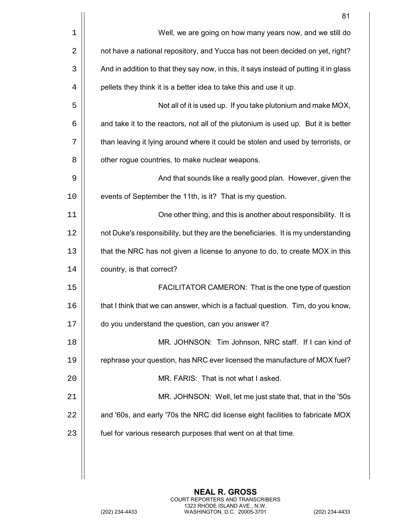|    | 81                                                                                    |
|----|---------------------------------------------------------------------------------------|
| 1  | Well, we are going on how many years now, and we still do                             |
| 2  | not have a national repository, and Yucca has not been decided on yet, right?         |
| 3  | And in addition to that they say now, in this, it says instead of putting it in glass |
| 4  | pellets they think it is a better idea to take this and use it up.                    |
| 5  | Not all of it is used up. If you take plutonium and make MOX,                         |
| 6  | and take it to the reactors, not all of the plutonium is used up. But it is better    |
| 7  | than leaving it lying around where it could be stolen and used by terrorists, or      |
| 8  | other rogue countries, to make nuclear weapons.                                       |
| 9  | And that sounds like a really good plan. However, given the                           |
| 10 | events of September the 11th, is it? That is my question.                             |
| 11 | One other thing, and this is another about responsibility. It is                      |
| 12 | not Duke's responsibility, but they are the beneficiaries. It is my understanding     |
| 13 | that the NRC has not given a license to anyone to do, to create MOX in this           |
| 14 | country, is that correct?                                                             |
| 15 | FACILITATOR CAMERON: That is the one type of question                                 |
| 16 | that I think that we can answer, which is a factual question. Tim, do you know,       |
| 17 | do you understand the question, can you answer it?                                    |
| 18 | MR. JOHNSON: Tim Johnson, NRC staff. If I can kind of                                 |
| 19 | rephrase your question, has NRC ever licensed the manufacture of MOX fuel?            |
| 20 | MR. FARIS: That is not what I asked.                                                  |
| 21 | MR. JOHNSON: Well, let me just state that, that in the '50s                           |
| 22 | and '60s, and early '70s the NRC did license eight facilities to fabricate MOX        |
| 23 | fuel for various research purposes that went on at that time.                         |
|    |                                                                                       |
|    |                                                                                       |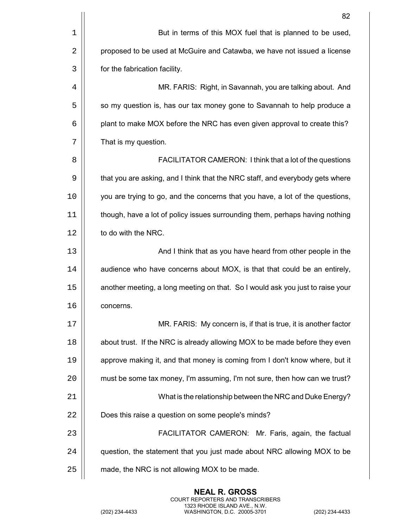|    | 82                                                                             |
|----|--------------------------------------------------------------------------------|
| 1  | But in terms of this MOX fuel that is planned to be used,                      |
| 2  | proposed to be used at McGuire and Catawba, we have not issued a license       |
| 3  | for the fabrication facility.                                                  |
| 4  | MR. FARIS: Right, in Savannah, you are talking about. And                      |
| 5  | so my question is, has our tax money gone to Savannah to help produce a        |
| 6  | plant to make MOX before the NRC has even given approval to create this?       |
| 7  | That is my question.                                                           |
| 8  | FACILITATOR CAMERON: I think that a lot of the questions                       |
| 9  | that you are asking, and I think that the NRC staff, and everybody gets where  |
| 10 | you are trying to go, and the concerns that you have, a lot of the questions,  |
| 11 | though, have a lot of policy issues surrounding them, perhaps having nothing   |
| 12 | to do with the NRC.                                                            |
| 13 | And I think that as you have heard from other people in the                    |
| 14 | audience who have concerns about MOX, is that that could be an entirely,       |
| 15 | another meeting, a long meeting on that. So I would ask you just to raise your |
| 16 | concerns.                                                                      |
| 17 | MR. FARIS: My concern is, if that is true, it is another factor                |
| 18 | about trust. If the NRC is already allowing MOX to be made before they even    |
| 19 | approve making it, and that money is coming from I don't know where, but it    |
| 20 | must be some tax money, I'm assuming, I'm not sure, then how can we trust?     |
| 21 | What is the relationship between the NRC and Duke Energy?                      |
| 22 | Does this raise a question on some people's minds?                             |
| 23 | FACILITATOR CAMERON: Mr. Faris, again, the factual                             |
| 24 | question, the statement that you just made about NRC allowing MOX to be        |
| 25 | made, the NRC is not allowing MOX to be made.                                  |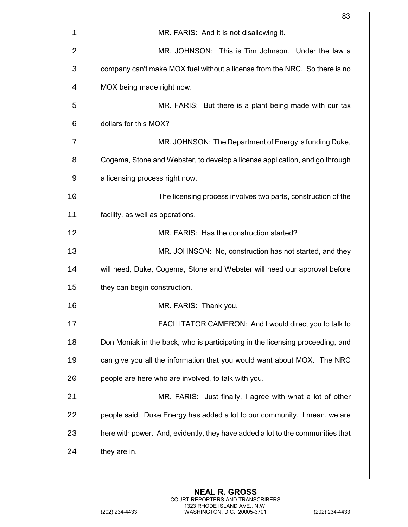|    | 83                                                                             |
|----|--------------------------------------------------------------------------------|
| 1  | MR. FARIS: And it is not disallowing it.                                       |
| 2  | MR. JOHNSON: This is Tim Johnson. Under the law a                              |
| 3  | company can't make MOX fuel without a license from the NRC. So there is no     |
| 4  | MOX being made right now.                                                      |
| 5  | MR. FARIS: But there is a plant being made with our tax                        |
| 6  | dollars for this MOX?                                                          |
| 7  | MR. JOHNSON: The Department of Energy is funding Duke,                         |
| 8  | Cogema, Stone and Webster, to develop a license application, and go through    |
| 9  | a licensing process right now.                                                 |
| 10 | The licensing process involves two parts, construction of the                  |
| 11 | facility, as well as operations.                                               |
| 12 | MR. FARIS: Has the construction started?                                       |
| 13 | MR. JOHNSON: No, construction has not started, and they                        |
| 14 | will need, Duke, Cogema, Stone and Webster will need our approval before       |
| 15 | they can begin construction.                                                   |
| 16 | MR. FARIS: Thank you.                                                          |
| 17 | FACILITATOR CAMERON: And I would direct you to talk to                         |
| 18 | Don Moniak in the back, who is participating in the licensing proceeding, and  |
| 19 | can give you all the information that you would want about MOX. The NRC        |
| 20 | people are here who are involved, to talk with you.                            |
| 21 | MR. FARIS: Just finally, I agree with what a lot of other                      |
| 22 | people said. Duke Energy has added a lot to our community. I mean, we are      |
| 23 | here with power. And, evidently, they have added a lot to the communities that |
| 24 | they are in.                                                                   |
|    |                                                                                |